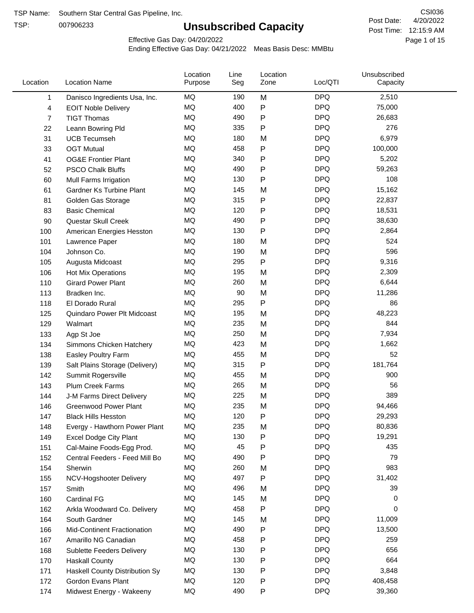TSP:

# **Unsubscribed Capacity**

4/20/2022 Page 1 of 15 Post Time: 12:15:9 AM CSI036 Post Date:

Effective Gas Day: 04/20/2022

| Location       | <b>Location Name</b>               | Location<br>Purpose | Line<br>Seg | Location<br>Zone | Loc/QTI    | Unsubscribed<br>Capacity |  |
|----------------|------------------------------------|---------------------|-------------|------------------|------------|--------------------------|--|
| 1              | Danisco Ingredients Usa, Inc.      | MQ                  | 190         | M                | <b>DPQ</b> | 2,510                    |  |
| 4              | <b>EOIT Noble Delivery</b>         | MQ                  | 400         | P                | <b>DPQ</b> | 75,000                   |  |
| $\overline{7}$ | <b>TIGT Thomas</b>                 | <b>MQ</b>           | 490         | P                | <b>DPQ</b> | 26,683                   |  |
| 22             | Leann Bowring Pld                  | <b>MQ</b>           | 335         | Ρ                | <b>DPQ</b> | 276                      |  |
| 31             | <b>UCB Tecumseh</b>                | MQ                  | 180         | M                | <b>DPQ</b> | 6,979                    |  |
| 33             | <b>OGT Mutual</b>                  | <b>MQ</b>           | 458         | P                | <b>DPQ</b> | 100,000                  |  |
| 41             | <b>OG&amp;E Frontier Plant</b>     | MQ                  | 340         | P                | <b>DPQ</b> | 5,202                    |  |
| 52             | <b>PSCO Chalk Bluffs</b>           | MQ                  | 490         | Ρ                | <b>DPQ</b> | 59,263                   |  |
| 60             | Mull Farms Irrigation              | <b>MQ</b>           | 130         | Ρ                | <b>DPQ</b> | 108                      |  |
| 61             | Gardner Ks Turbine Plant           | MQ                  | 145         | M                | <b>DPQ</b> | 15,162                   |  |
| 81             | Golden Gas Storage                 | MQ                  | 315         | P                | <b>DPQ</b> | 22,837                   |  |
| 83             | <b>Basic Chemical</b>              | <b>MQ</b>           | 120         | P                | <b>DPQ</b> | 18,531                   |  |
| 90             | Questar Skull Creek                | MQ                  | 490         | P                | <b>DPQ</b> | 38,630                   |  |
| 100            | American Energies Hesston          | <b>MQ</b>           | 130         | Ρ                | <b>DPQ</b> | 2,864                    |  |
| 101            | Lawrence Paper                     | MQ                  | 180         | M                | <b>DPQ</b> | 524                      |  |
| 104            | Johnson Co.                        | MQ                  | 190         | M                | <b>DPQ</b> | 596                      |  |
| 105            | Augusta Midcoast                   | MQ                  | 295         | Ρ                | <b>DPQ</b> | 9,316                    |  |
| 106            | Hot Mix Operations                 | MQ                  | 195         | M                | <b>DPQ</b> | 2,309                    |  |
| 110            | <b>Girard Power Plant</b>          | MQ                  | 260         | M                | <b>DPQ</b> | 6,644                    |  |
| 113            | Bradken Inc.                       | MQ                  | 90          | M                | <b>DPQ</b> | 11,286                   |  |
| 118            | El Dorado Rural                    | MQ                  | 295         | P                | <b>DPQ</b> | 86                       |  |
| 125            | Quindaro Power Plt Midcoast        | MQ                  | 195         | M                | <b>DPQ</b> | 48,223                   |  |
| 129            | Walmart                            | <b>MQ</b>           | 235         | M                | <b>DPQ</b> | 844                      |  |
| 133            | Agp St Joe                         | MQ                  | 250         | M                | <b>DPQ</b> | 7,934                    |  |
| 134            | Simmons Chicken Hatchery           | MQ                  | 423         | M                | <b>DPQ</b> | 1,662                    |  |
| 138            | Easley Poultry Farm                | MQ                  | 455         | M                | <b>DPQ</b> | 52                       |  |
| 139            | Salt Plains Storage (Delivery)     | <b>MQ</b>           | 315         | P                | <b>DPQ</b> | 181,764                  |  |
| 142            | Summit Rogersville                 | MQ                  | 455         | M                | <b>DPQ</b> | 900                      |  |
| 143            | <b>Plum Creek Farms</b>            | MQ                  | 265         | M                | <b>DPQ</b> | 56                       |  |
| 144            | J-M Farms Direct Delivery          | MQ                  | 225         | M                | <b>DPQ</b> | 389                      |  |
| 146            | <b>Greenwood Power Plant</b>       | <b>MQ</b>           | 235         | M                | <b>DPQ</b> | 94,466                   |  |
| 147            | <b>Black Hills Hesston</b>         | MQ                  | 120         | P                | <b>DPQ</b> | 29,293                   |  |
| 148            | Evergy - Hawthorn Power Plant      | MQ                  | 235         | M                | <b>DPQ</b> | 80,836                   |  |
| 149            | <b>Excel Dodge City Plant</b>      | MQ                  | 130         | Ρ                | <b>DPQ</b> | 19,291                   |  |
| 151            | Cal-Maine Foods-Egg Prod.          | MQ                  | 45          | Ρ                | <b>DPQ</b> | 435                      |  |
| 152            | Central Feeders - Feed Mill Bo     | MQ                  | 490         | Ρ                | <b>DPQ</b> | 79                       |  |
| 154            | Sherwin                            | MQ                  | 260         | M                | <b>DPQ</b> | 983                      |  |
| 155            | NCV-Hogshooter Delivery            | MQ                  | 497         | P                | <b>DPQ</b> | 31,402                   |  |
| 157            | Smith                              | MQ                  | 496         | M                | <b>DPQ</b> | 39                       |  |
| 160            | Cardinal FG                        | MQ                  | 145         | M                | <b>DPQ</b> | 0                        |  |
| 162            | Arkla Woodward Co. Delivery        | MQ                  | 458         | P                | <b>DPQ</b> | 0                        |  |
| 164            | South Gardner                      | MQ                  | 145         | M                | <b>DPQ</b> | 11,009                   |  |
| 166            | <b>Mid-Continent Fractionation</b> | MQ                  | 490         | Ρ                | <b>DPQ</b> | 13,500                   |  |
| 167            | Amarillo NG Canadian               | MQ                  | 458         | Ρ                | <b>DPQ</b> | 259                      |  |
| 168            | Sublette Feeders Delivery          | MQ                  | 130         | Ρ                | <b>DPQ</b> | 656                      |  |
| 170            | <b>Haskall County</b>              | MQ                  | 130         | Ρ                | <b>DPQ</b> | 664                      |  |
| 171            | Haskell County Distribution Sy     | MQ                  | 130         | Ρ                | <b>DPQ</b> | 3,848                    |  |
| 172            | Gordon Evans Plant                 | MQ                  | 120         | Ρ                | <b>DPQ</b> | 408,458                  |  |
| 174            | Midwest Energy - Wakeeny           | MQ                  | 490         | Ρ                | <b>DPQ</b> | 39,360                   |  |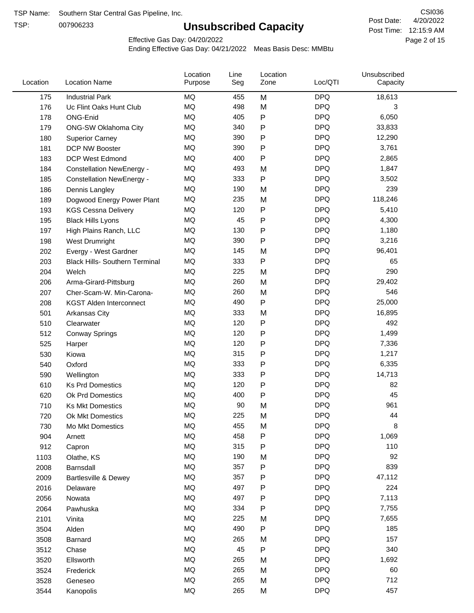TSP:

# **Unsubscribed Capacity**

4/20/2022 Page 2 of 15 Post Time: 12:15:9 AM CSI036 Post Date:

Effective Gas Day: 04/20/2022

| Location | <b>Location Name</b>                  | Location<br>Purpose | Line<br>Seg | Location<br>Zone | Loc/QTI    | Unsubscribed<br>Capacity |  |
|----------|---------------------------------------|---------------------|-------------|------------------|------------|--------------------------|--|
| 175      | <b>Industrial Park</b>                | <b>MQ</b>           | 455         | M                | <b>DPQ</b> | 18,613                   |  |
| 176      | Uc Flint Oaks Hunt Club               | MQ                  | 498         | M                | <b>DPQ</b> | 3                        |  |
| 178      | ONG-Enid                              | MQ                  | 405         | P                | <b>DPQ</b> | 6,050                    |  |
| 179      | ONG-SW Oklahoma City                  | MQ                  | 340         | P                | <b>DPQ</b> | 33,833                   |  |
| 180      | <b>Superior Carney</b>                | <b>MQ</b>           | 390         | P                | <b>DPQ</b> | 12,290                   |  |
| 181      | DCP NW Booster                        | <b>MQ</b>           | 390         | P                | <b>DPQ</b> | 3,761                    |  |
| 183      | <b>DCP West Edmond</b>                | MQ                  | 400         | P                | <b>DPQ</b> | 2,865                    |  |
| 184      | <b>Constellation NewEnergy -</b>      | MQ                  | 493         | M                | <b>DPQ</b> | 1,847                    |  |
| 185      | <b>Constellation NewEnergy -</b>      | MQ                  | 333         | P                | <b>DPQ</b> | 3,502                    |  |
| 186      | Dennis Langley                        | MQ                  | 190         | M                | <b>DPQ</b> | 239                      |  |
| 189      | Dogwood Energy Power Plant            | MQ                  | 235         | M                | <b>DPQ</b> | 118,246                  |  |
| 193      | <b>KGS Cessna Delivery</b>            | MQ                  | 120         | P                | <b>DPQ</b> | 5,410                    |  |
| 195      | <b>Black Hills Lyons</b>              | MQ                  | 45          | P                | <b>DPQ</b> | 4,300                    |  |
| 197      | High Plains Ranch, LLC                | <b>MQ</b>           | 130         | P                | <b>DPQ</b> | 1,180                    |  |
| 198      | West Drumright                        | <b>MQ</b>           | 390         | P                | <b>DPQ</b> | 3,216                    |  |
| 202      | Evergy - West Gardner                 | MQ                  | 145         | M                | <b>DPQ</b> | 96,401                   |  |
| 203      | <b>Black Hills- Southern Terminal</b> | MQ                  | 333         | P                | <b>DPQ</b> | 65                       |  |
| 204      | Welch                                 | <b>MQ</b>           | 225         | M                | <b>DPQ</b> | 290                      |  |
| 206      | Arma-Girard-Pittsburg                 | <b>MQ</b>           | 260         | M                | <b>DPQ</b> | 29,402                   |  |
| 207      | Cher-Scam-W. Min-Carona-              | MQ                  | 260         | M                | <b>DPQ</b> | 546                      |  |
| 208      | <b>KGST Alden Interconnect</b>        | MQ                  | 490         | P                | <b>DPQ</b> | 25,000                   |  |
| 501      | Arkansas City                         | MQ                  | 333         | M                | <b>DPQ</b> | 16,895                   |  |
| 510      | Clearwater                            | <b>MQ</b>           | 120         | P                | <b>DPQ</b> | 492                      |  |
| 512      | <b>Conway Springs</b>                 | <b>MQ</b>           | 120         | P                | <b>DPQ</b> | 1,499                    |  |
| 525      | Harper                                | <b>MQ</b>           | 120         | P                | <b>DPQ</b> | 7,336                    |  |
| 530      | Kiowa                                 | <b>MQ</b>           | 315         | P                | <b>DPQ</b> | 1,217                    |  |
| 540      | Oxford                                | <b>MQ</b>           | 333         | P                | <b>DPQ</b> | 6,335                    |  |
| 590      | Wellington                            | MQ                  | 333         | P                | <b>DPQ</b> | 14,713                   |  |
| 610      | <b>Ks Prd Domestics</b>               | MQ                  | 120         | P                | <b>DPQ</b> | 82                       |  |
| 620      | Ok Prd Domestics                      | MQ                  | 400         | P                | <b>DPQ</b> | 45                       |  |
| 710      | <b>Ks Mkt Domestics</b>               | MQ                  | 90          | M                | <b>DPQ</b> | 961                      |  |
| 720      | Ok Mkt Domestics                      | <b>MQ</b>           | 225         | M                | <b>DPQ</b> | 44                       |  |
| 730      | Mo Mkt Domestics                      | MQ                  | 455         | M                | <b>DPQ</b> | 8                        |  |
| 904      | Arnett                                | MQ                  | 458         | Ρ                | <b>DPQ</b> | 1,069                    |  |
| 912      | Capron                                | MQ                  | 315         | Ρ                | <b>DPQ</b> | 110                      |  |
| 1103     | Olathe, KS                            | MQ                  | 190         | M                | <b>DPQ</b> | 92                       |  |
| 2008     | Barnsdall                             | MQ                  | 357         | P                | <b>DPQ</b> | 839                      |  |
| 2009     | Bartlesville & Dewey                  | MQ                  | 357         | Ρ                | <b>DPQ</b> | 47,112                   |  |
| 2016     | Delaware                              | MQ                  | 497         | Ρ                | <b>DPQ</b> | 224                      |  |
| 2056     | Nowata                                | MQ                  | 497         | P                | <b>DPQ</b> | 7,113                    |  |
| 2064     | Pawhuska                              | MQ                  | 334         | Ρ                | <b>DPQ</b> | 7,755                    |  |
| 2101     | Vinita                                | MQ                  | 225         | M                | <b>DPQ</b> | 7,655                    |  |
| 3504     | Alden                                 | MQ                  | 490         | Ρ                | <b>DPQ</b> | 185                      |  |
| 3508     | Barnard                               | MQ                  | 265         | M                | <b>DPQ</b> | 157                      |  |
| 3512     | Chase                                 | MQ                  | 45          | P                | <b>DPQ</b> | 340                      |  |
| 3520     | Ellsworth                             | MQ                  | 265         | M                | <b>DPQ</b> | 1,692                    |  |
| 3524     | Frederick                             | MQ                  | 265         | M                | <b>DPQ</b> | 60                       |  |
| 3528     | Geneseo                               | MQ                  | 265         | M                | <b>DPQ</b> | 712                      |  |
| 3544     | Kanopolis                             | MQ                  | 265         | М                | <b>DPQ</b> | 457                      |  |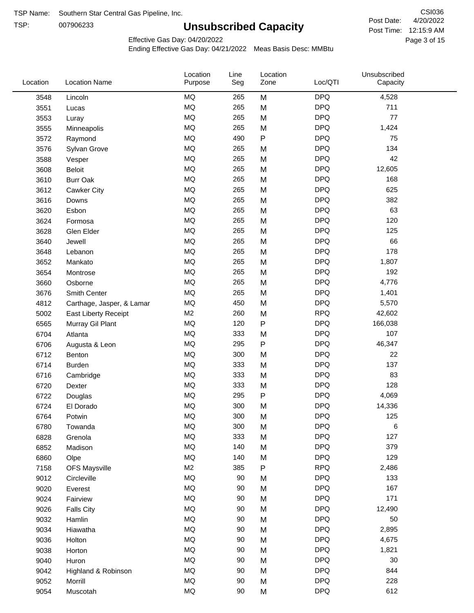TSP: 

# **Unsubscribed Capacity**

4/20/2022 Page 3 of 15 Post Time: 12:15:9 AM CSI036 Post Date:

Effective Gas Day: 04/20/2022

| Location | <b>Location Name</b>      | Location<br>Purpose | Line<br>Seg | Location<br>Zone | Loc/QTI    | Unsubscribed<br>Capacity |  |
|----------|---------------------------|---------------------|-------------|------------------|------------|--------------------------|--|
| 3548     | Lincoln                   | MQ                  | 265         | M                | <b>DPQ</b> | 4,528                    |  |
| 3551     | Lucas                     | MQ                  | 265         | M                | <b>DPQ</b> | 711                      |  |
| 3553     | Luray                     | <b>MQ</b>           | 265         | M                | <b>DPQ</b> | 77                       |  |
| 3555     | Minneapolis               | <b>MQ</b>           | 265         | M                | <b>DPQ</b> | 1,424                    |  |
| 3572     | Raymond                   | <b>MQ</b>           | 490         | $\mathsf{P}$     | <b>DPQ</b> | 75                       |  |
| 3576     | Sylvan Grove              | <b>MQ</b>           | 265         | M                | <b>DPQ</b> | 134                      |  |
| 3588     | Vesper                    | MQ                  | 265         | M                | <b>DPQ</b> | 42                       |  |
| 3608     | Beloit                    | MQ                  | 265         | M                | <b>DPQ</b> | 12,605                   |  |
| 3610     | <b>Burr Oak</b>           | MQ                  | 265         | M                | <b>DPQ</b> | 168                      |  |
| 3612     | Cawker City               | MQ                  | 265         | M                | <b>DPQ</b> | 625                      |  |
| 3616     | Downs                     | MQ                  | 265         | M                | <b>DPQ</b> | 382                      |  |
| 3620     | Esbon                     | <b>MQ</b>           | 265         | M                | <b>DPQ</b> | 63                       |  |
| 3624     | Formosa                   | <b>MQ</b>           | 265         | M                | <b>DPQ</b> | 120                      |  |
| 3628     | Glen Elder                | <b>MQ</b>           | 265         | M                | <b>DPQ</b> | 125                      |  |
| 3640     | Jewell                    | <b>MQ</b>           | 265         | M                | <b>DPQ</b> | 66                       |  |
| 3648     | Lebanon                   | MQ                  | 265         | M                | <b>DPQ</b> | 178                      |  |
| 3652     | Mankato                   | MQ                  | 265         | M                | <b>DPQ</b> | 1,807                    |  |
| 3654     | Montrose                  | <b>MQ</b>           | 265         | M                | <b>DPQ</b> | 192                      |  |
| 3660     | Osborne                   | <b>MQ</b>           | 265         | M                | <b>DPQ</b> | 4,776                    |  |
| 3676     | Smith Center              | MQ                  | 265         | M                | <b>DPQ</b> | 1,401                    |  |
| 4812     | Carthage, Jasper, & Lamar | <b>MQ</b>           | 450         | M                | <b>DPQ</b> | 5,570                    |  |
| 5002     | East Liberty Receipt      | M <sub>2</sub>      | 260         | M                | <b>RPQ</b> | 42,602                   |  |
| 6565     | Murray Gil Plant          | MQ                  | 120         | P                | <b>DPQ</b> | 166,038                  |  |
| 6704     | Atlanta                   | MQ                  | 333         | M                | <b>DPQ</b> | 107                      |  |
| 6706     | Augusta & Leon            | MQ                  | 295         | P                | <b>DPQ</b> | 46,347                   |  |
| 6712     | Benton                    | MQ                  | 300         | M                | <b>DPQ</b> | 22                       |  |
| 6714     | <b>Burden</b>             | MQ                  | 333         | M                | <b>DPQ</b> | 137                      |  |
| 6716     | Cambridge                 | <b>MQ</b>           | 333         | M                | <b>DPQ</b> | 83                       |  |
| 6720     | Dexter                    | <b>MQ</b>           | 333         | M                | <b>DPQ</b> | 128                      |  |
| 6722     | Douglas                   | <b>MQ</b>           | 295         | ${\sf P}$        | <b>DPQ</b> | 4,069                    |  |
| 6724     | El Dorado                 | <b>MQ</b>           | 300         | M                | <b>DPQ</b> | 14,336                   |  |
| 6764     | Potwin                    | <b>MQ</b>           | 300         | M                | <b>DPQ</b> | 125                      |  |
| 6780     | Towanda                   | MQ                  | 300         | M                | <b>DPQ</b> | 6                        |  |
| 6828     | Grenola                   | MQ                  | 333         | M                | <b>DPQ</b> | 127                      |  |
| 6852     | Madison                   | MQ                  | 140         | M                | <b>DPQ</b> | 379                      |  |
| 6860     | Olpe                      | MQ                  | 140         | M                | <b>DPQ</b> | 129                      |  |
| 7158     | <b>OFS Maysville</b>      | M <sub>2</sub>      | 385         | ${\sf P}$        | <b>RPQ</b> | 2,486                    |  |
| 9012     | Circleville               | MQ                  | 90          | M                | <b>DPQ</b> | 133                      |  |
| 9020     | Everest                   | $\sf{MQ}$           | 90          | M                | <b>DPQ</b> | 167                      |  |
| 9024     | Fairview                  | MQ                  | 90          | M                | <b>DPQ</b> | 171                      |  |
| 9026     | <b>Falls City</b>         | MQ                  | 90          | M                | <b>DPQ</b> | 12,490                   |  |
| 9032     | Hamlin                    | MQ                  | 90          | M                | <b>DPQ</b> | 50                       |  |
| 9034     | Hiawatha                  | MQ                  | 90          | M                | <b>DPQ</b> | 2,895                    |  |
| 9036     | Holton                    | MQ                  | 90          | M                | <b>DPQ</b> | 4,675                    |  |
| 9038     | Horton                    | MQ                  | 90          | M                | <b>DPQ</b> | 1,821                    |  |
| 9040     | Huron                     | MQ                  | 90          | M                | <b>DPQ</b> | 30                       |  |
| 9042     | Highland & Robinson       | MQ                  | 90          | M                | <b>DPQ</b> | 844                      |  |
| 9052     | Morrill                   | $\sf{MQ}$           | 90          | M                | <b>DPQ</b> | 228                      |  |
| 9054     | Muscotah                  | $\sf{MQ}$           | 90          | M                | <b>DPQ</b> | 612                      |  |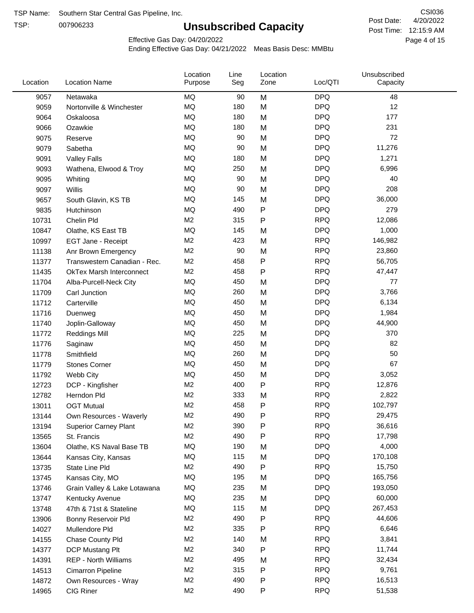TSP:

# **Unsubscribed Capacity**

4/20/2022 Page 4 of 15 Post Time: 12:15:9 AM CSI036 Post Date:

Effective Gas Day: 04/20/2022

| Location |       | <b>Location Name</b>            | Location<br>Purpose | Line<br>Seg | Location<br>Zone | Loc/QTI    | Unsubscribed<br>Capacity |  |
|----------|-------|---------------------------------|---------------------|-------------|------------------|------------|--------------------------|--|
|          | 9057  | Netawaka                        | <b>MQ</b>           | 90          | M                | <b>DPQ</b> | 48                       |  |
|          | 9059  | Nortonville & Winchester        | MQ                  | 180         | M                | <b>DPQ</b> | 12                       |  |
|          | 9064  | Oskaloosa                       | MQ                  | 180         | M                | <b>DPQ</b> | 177                      |  |
|          | 9066  | Ozawkie                         | <b>MQ</b>           | 180         | M                | <b>DPQ</b> | 231                      |  |
|          | 9075  | Reserve                         | <b>MQ</b>           | 90          | M                | <b>DPQ</b> | 72                       |  |
|          | 9079  | Sabetha                         | <b>MQ</b>           | 90          | M                | <b>DPQ</b> | 11,276                   |  |
|          | 9091  | <b>Valley Falls</b>             | <b>MQ</b>           | 180         | M                | <b>DPQ</b> | 1,271                    |  |
|          | 9093  | Wathena, Elwood & Troy          | <b>MQ</b>           | 250         | M                | <b>DPQ</b> | 6,996                    |  |
|          | 9095  | Whiting                         | MQ                  | 90          | M                | <b>DPQ</b> | 40                       |  |
|          | 9097  | Willis                          | <b>MQ</b>           | 90          | M                | <b>DPQ</b> | 208                      |  |
|          | 9657  | South Glavin, KS TB             | MQ                  | 145         | M                | <b>DPQ</b> | 36,000                   |  |
|          | 9835  | Hutchinson                      | MQ                  | 490         | ${\sf P}$        | <b>DPQ</b> | 279                      |  |
|          | 10731 | Chelin Pld                      | M <sub>2</sub>      | 315         | P                | <b>RPQ</b> | 12,086                   |  |
|          | 10847 | Olathe, KS East TB              | <b>MQ</b>           | 145         | M                | <b>DPQ</b> | 1,000                    |  |
|          | 10997 | EGT Jane - Receipt              | M <sub>2</sub>      | 423         | M                | <b>RPQ</b> | 146,982                  |  |
|          | 11138 | Anr Brown Emergency             | M <sub>2</sub>      | 90          | M                | <b>RPQ</b> | 23,860                   |  |
|          | 11377 | Transwestern Canadian - Rec.    | M <sub>2</sub>      | 458         | P                | <b>RPQ</b> | 56,705                   |  |
|          | 11435 | <b>OkTex Marsh Interconnect</b> | M2                  | 458         | P                | <b>RPQ</b> | 47,447                   |  |
|          | 11704 | Alba-Purcell-Neck City          | <b>MQ</b>           | 450         | M                | <b>DPQ</b> | 77                       |  |
|          | 11709 | Carl Junction                   | <b>MQ</b>           | 260         | M                | <b>DPQ</b> | 3,766                    |  |
|          | 11712 | Carterville                     | MQ                  | 450         | M                | <b>DPQ</b> | 6,134                    |  |
|          | 11716 | Duenweg                         | MQ                  | 450         | M                | <b>DPQ</b> | 1,984                    |  |
|          | 11740 | Joplin-Galloway                 | <b>MQ</b>           | 450         | M                | <b>DPQ</b> | 44,900                   |  |
|          | 11772 | <b>Reddings Mill</b>            | <b>MQ</b>           | 225         | M                | <b>DPQ</b> | 370                      |  |
|          | 11776 | Saginaw                         | <b>MQ</b>           | 450         | M                | <b>DPQ</b> | 82                       |  |
|          | 11778 | Smithfield                      | MQ                  | 260         | M                | <b>DPQ</b> | 50                       |  |
|          | 11779 | <b>Stones Corner</b>            | <b>MQ</b>           | 450         | M                | <b>DPQ</b> | 67                       |  |
|          | 11792 | Webb City                       | <b>MQ</b>           | 450         | M                | <b>DPQ</b> | 3,052                    |  |
|          | 12723 | DCP - Kingfisher                | M <sub>2</sub>      | 400         | ${\sf P}$        | <b>RPQ</b> | 12,876                   |  |
|          | 12782 | Herndon Pld                     | M <sub>2</sub>      | 333         | M                | <b>RPQ</b> | 2,822                    |  |
|          | 13011 | <b>OGT Mutual</b>               | M <sub>2</sub>      | 458         | P                | <b>RPQ</b> | 102,797                  |  |
|          | 13144 | Own Resources - Waverly         | M <sub>2</sub>      | 490         | P                | <b>RPQ</b> | 29,475                   |  |
|          | 13194 | <b>Superior Carney Plant</b>    | M <sub>2</sub>      | 390         | P                | <b>RPQ</b> | 36,616                   |  |
|          | 13565 | St. Francis                     | M <sub>2</sub>      | 490         | P                | <b>RPQ</b> | 17,798                   |  |
|          | 13604 | Olathe, KS Naval Base TB        | MQ                  | 190         | M                | <b>DPQ</b> | 4,000                    |  |
|          | 13644 | Kansas City, Kansas             | MQ                  | 115         | M                | <b>DPQ</b> | 170,108                  |  |
|          | 13735 | State Line Pld                  | M <sub>2</sub>      | 490         | P                | <b>RPQ</b> | 15,750                   |  |
|          | 13745 | Kansas City, MO                 | MQ                  | 195         | M                | <b>DPQ</b> | 165,756                  |  |
|          | 13746 | Grain Valley & Lake Lotawana    | MQ                  | 235         | M                | <b>DPQ</b> | 193,050                  |  |
|          | 13747 | Kentucky Avenue                 | MQ                  | 235         | M                | <b>DPQ</b> | 60,000                   |  |
|          | 13748 | 47th & 71st & Stateline         | MQ                  | 115         | M                | <b>DPQ</b> | 267,453                  |  |
|          | 13906 | Bonny Reservoir Pld             | M <sub>2</sub>      | 490         | P                | <b>RPQ</b> | 44,606                   |  |
|          | 14027 | Mullendore Pld                  | M <sub>2</sub>      | 335         | P                | <b>RPQ</b> | 6,646                    |  |
|          | 14155 | Chase County Pld                | M <sub>2</sub>      | 140         | M                | <b>RPQ</b> | 3,841                    |  |
|          | 14377 | DCP Mustang Plt                 | M <sub>2</sub>      | 340         | ${\sf P}$        | <b>RPQ</b> | 11,744                   |  |
|          | 14391 | <b>REP - North Williams</b>     | M <sub>2</sub>      | 495         | M                | <b>RPQ</b> | 32,434                   |  |
|          | 14513 | Cimarron Pipeline               | M <sub>2</sub>      | 315         | ${\sf P}$        | <b>RPQ</b> | 9,761                    |  |
|          | 14872 | Own Resources - Wray            | M <sub>2</sub>      | 490         | P                | <b>RPQ</b> | 16,513                   |  |
|          | 14965 | CIG Riner                       | M <sub>2</sub>      | 490         | P                | <b>RPQ</b> | 51,538                   |  |
|          |       |                                 |                     |             |                  |            |                          |  |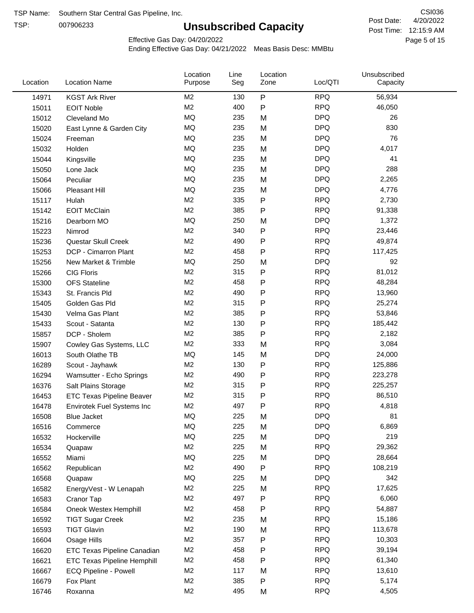TSP:

# **Unsubscribed Capacity**

4/20/2022 Page 5 of 15 Post Time: 12:15:9 AM CSI036 Post Date:

Effective Gas Day: 04/20/2022

| Location | <b>Location Name</b>               | Location<br>Purpose | Line<br>Seg | Location<br>Zone | Loc/QTI    | Unsubscribed<br>Capacity |  |
|----------|------------------------------------|---------------------|-------------|------------------|------------|--------------------------|--|
| 14971    | <b>KGST Ark River</b>              | M <sub>2</sub>      | 130         | P                | <b>RPQ</b> | 56,934                   |  |
| 15011    | <b>EOIT Noble</b>                  | M <sub>2</sub>      | 400         | P                | <b>RPQ</b> | 46,050                   |  |
| 15012    | Cleveland Mo                       | <b>MQ</b>           | 235         | M                | <b>DPQ</b> | 26                       |  |
| 15020    | East Lynne & Garden City           | <b>MQ</b>           | 235         | M                | <b>DPQ</b> | 830                      |  |
| 15024    | Freeman                            | <b>MQ</b>           | 235         | M                | <b>DPQ</b> | 76                       |  |
| 15032    | Holden                             | <b>MQ</b>           | 235         | M                | <b>DPQ</b> | 4,017                    |  |
| 15044    | Kingsville                         | <b>MQ</b>           | 235         | M                | <b>DPQ</b> | 41                       |  |
| 15050    | Lone Jack                          | <b>MQ</b>           | 235         | M                | <b>DPQ</b> | 288                      |  |
| 15064    | Peculiar                           | <b>MQ</b>           | 235         | M                | <b>DPQ</b> | 2,265                    |  |
| 15066    | Pleasant Hill                      | <b>MQ</b>           | 235         | M                | <b>DPQ</b> | 4,776                    |  |
| 15117    | Hulah                              | M <sub>2</sub>      | 335         | P                | <b>RPQ</b> | 2,730                    |  |
| 15142    | <b>EOIT McClain</b>                | M <sub>2</sub>      | 385         | P                | <b>RPQ</b> | 91,338                   |  |
| 15216    | Dearborn MO                        | MQ                  | 250         | M                | <b>DPQ</b> | 1,372                    |  |
| 15223    | Nimrod                             | M <sub>2</sub>      | 340         | P                | <b>RPQ</b> | 23,446                   |  |
| 15236    | Questar Skull Creek                | M <sub>2</sub>      | 490         | P                | <b>RPQ</b> | 49,874                   |  |
| 15253    | DCP - Cimarron Plant               | M <sub>2</sub>      | 458         | P                | <b>RPQ</b> | 117,425                  |  |
| 15256    | New Market & Trimble               | <b>MQ</b>           | 250         | M                | <b>DPQ</b> | 92                       |  |
| 15266    | <b>CIG Floris</b>                  | M <sub>2</sub>      | 315         | Ρ                | <b>RPQ</b> | 81,012                   |  |
| 15300    | <b>OFS Stateline</b>               | M <sub>2</sub>      | 458         | P                | <b>RPQ</b> | 48,284                   |  |
| 15343    | St. Francis Pld                    | M <sub>2</sub>      | 490         | P                | <b>RPQ</b> | 13,960                   |  |
| 15405    | Golden Gas Pld                     | M <sub>2</sub>      | 315         | P                | <b>RPQ</b> | 25,274                   |  |
| 15430    | Velma Gas Plant                    | M <sub>2</sub>      | 385         | P                | <b>RPQ</b> | 53,846                   |  |
| 15433    | Scout - Satanta                    | M <sub>2</sub>      | 130         | P                | <b>RPQ</b> | 185,442                  |  |
| 15857    | DCP - Sholem                       | M <sub>2</sub>      | 385         | P                | <b>RPQ</b> | 2,182                    |  |
| 15907    | Cowley Gas Systems, LLC            | M <sub>2</sub>      | 333         | M                | <b>RPQ</b> | 3,084                    |  |
| 16013    | South Olathe TB                    | MQ                  | 145         | M                | <b>DPQ</b> | 24,000                   |  |
| 16289    | Scout - Jayhawk                    | M <sub>2</sub>      | 130         | P                | <b>RPQ</b> | 125,886                  |  |
| 16294    | Wamsutter - Echo Springs           | M <sub>2</sub>      | 490         | P                | <b>RPQ</b> | 223,278                  |  |
| 16376    | Salt Plains Storage                | M <sub>2</sub>      | 315         | P                | <b>RPQ</b> | 225,257                  |  |
| 16453    | ETC Texas Pipeline Beaver          | M <sub>2</sub>      | 315         | P                | <b>RPQ</b> | 86,510                   |  |
| 16478    | Envirotek Fuel Systems Inc         | M <sub>2</sub>      | 497         | P                | <b>RPQ</b> | 4,818                    |  |
| 16508    | <b>Blue Jacket</b>                 | MQ                  | 225         | M                | <b>DPQ</b> | 81                       |  |
| 16516    | Commerce                           | MQ                  | 225         | M                | <b>DPQ</b> | 6,869                    |  |
| 16532    | Hockerville                        | MQ                  | 225         | M                | <b>DPQ</b> | 219                      |  |
| 16534    | Quapaw                             | M <sub>2</sub>      | 225         | M                | <b>RPQ</b> | 29,362                   |  |
| 16552    | Miami                              | MQ                  | 225         | M                | <b>DPQ</b> | 28,664                   |  |
| 16562    | Republican                         | M <sub>2</sub>      | 490         | P                | <b>RPQ</b> | 108,219                  |  |
| 16568    | Quapaw                             | <b>MQ</b>           | 225         | M                | <b>DPQ</b> | 342                      |  |
| 16582    | EnergyVest - W Lenapah             | M <sub>2</sub>      | 225         | M                | <b>RPQ</b> | 17,625                   |  |
| 16583    | Cranor Tap                         | M <sub>2</sub>      | 497         | Ρ                | <b>RPQ</b> | 6,060                    |  |
| 16584    | Oneok Westex Hemphill              | M <sub>2</sub>      | 458         | Ρ                | <b>RPQ</b> | 54,887                   |  |
| 16592    | <b>TIGT Sugar Creek</b>            | M <sub>2</sub>      | 235         | M                | <b>RPQ</b> | 15,186                   |  |
| 16593    | <b>TIGT Glavin</b>                 | M <sub>2</sub>      | 190         | M                | <b>RPQ</b> | 113,678                  |  |
| 16604    | Osage Hills                        | M <sub>2</sub>      | 357         | Ρ                | <b>RPQ</b> | 10,303                   |  |
| 16620    | ETC Texas Pipeline Canadian        | M <sub>2</sub>      | 458         | Ρ                | <b>RPQ</b> | 39,194                   |  |
| 16621    | <b>ETC Texas Pipeline Hemphill</b> | M <sub>2</sub>      | 458         | Ρ                | <b>RPQ</b> | 61,340                   |  |
| 16667    | ECQ Pipeline - Powell              | M <sub>2</sub>      | 117         | M                | <b>RPQ</b> | 13,610                   |  |
| 16679    | Fox Plant                          | M <sub>2</sub>      | 385         | Ρ                | <b>RPQ</b> | 5,174                    |  |
| 16746    | Roxanna                            | M <sub>2</sub>      | 495         | M                | <b>RPQ</b> | 4,505                    |  |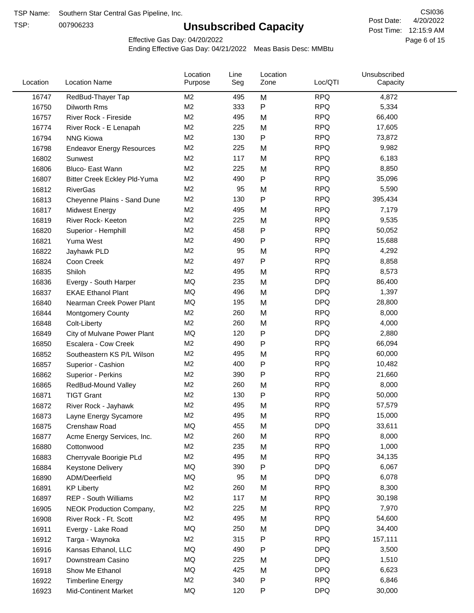TSP:

# **Unsubscribed Capacity**

4/20/2022 Page 6 of 15 Post Time: 12:15:9 AM CSI036 Post Date:

Effective Gas Day: 04/20/2022

| Location | <b>Location Name</b>                | Location<br>Purpose | Line<br>Seg | Location<br>Zone | Loc/QTI    | Unsubscribed<br>Capacity |  |
|----------|-------------------------------------|---------------------|-------------|------------------|------------|--------------------------|--|
| 16747    | RedBud-Thayer Tap                   | M <sub>2</sub>      | 495         | M                | <b>RPQ</b> | 4,872                    |  |
| 16750    | Dilworth Rms                        | M2                  | 333         | P                | <b>RPQ</b> | 5,334                    |  |
| 16757    | River Rock - Fireside               | M <sub>2</sub>      | 495         | M                | <b>RPQ</b> | 66,400                   |  |
| 16774    | River Rock - E Lenapah              | M <sub>2</sub>      | 225         | M                | <b>RPQ</b> | 17,605                   |  |
| 16794    | <b>NNG Kiowa</b>                    | M <sub>2</sub>      | 130         | P                | <b>RPQ</b> | 73,872                   |  |
| 16798    | <b>Endeavor Energy Resources</b>    | M <sub>2</sub>      | 225         | M                | <b>RPQ</b> | 9,982                    |  |
| 16802    | Sunwest                             | M <sub>2</sub>      | 117         | M                | <b>RPQ</b> | 6,183                    |  |
| 16806    | Bluco- East Wann                    | M2                  | 225         | M                | <b>RPQ</b> | 8,850                    |  |
| 16807    | <b>Bitter Creek Eckley Pld-Yuma</b> | M2                  | 490         | P                | <b>RPQ</b> | 35,096                   |  |
| 16812    | <b>RiverGas</b>                     | M <sub>2</sub>      | 95          | M                | <b>RPQ</b> | 5,590                    |  |
| 16813    | Cheyenne Plains - Sand Dune         | M <sub>2</sub>      | 130         | P                | <b>RPQ</b> | 395,434                  |  |
| 16817    | <b>Midwest Energy</b>               | M <sub>2</sub>      | 495         | M                | <b>RPQ</b> | 7,179                    |  |
| 16819    | River Rock- Keeton                  | M <sub>2</sub>      | 225         | M                | <b>RPQ</b> | 9,535                    |  |
| 16820    | Superior - Hemphill                 | M <sub>2</sub>      | 458         | Ρ                | <b>RPQ</b> | 50,052                   |  |
| 16821    | Yuma West                           | M <sub>2</sub>      | 490         | P                | <b>RPQ</b> | 15,688                   |  |
| 16822    | Jayhawk PLD                         | M <sub>2</sub>      | 95          | M                | <b>RPQ</b> | 4,292                    |  |
| 16824    | Coon Creek                          | M <sub>2</sub>      | 497         | P                | <b>RPQ</b> | 8,858                    |  |
| 16835    | Shiloh                              | M2                  | 495         | M                | <b>RPQ</b> | 8,573                    |  |
| 16836    | Evergy - South Harper               | MQ                  | 235         | M                | <b>DPQ</b> | 86,400                   |  |
| 16837    | <b>EKAE Ethanol Plant</b>           | MQ                  | 496         | M                | <b>DPQ</b> | 1,397                    |  |
| 16840    | Nearman Creek Power Plant           | MQ                  | 195         | M                | <b>DPQ</b> | 28,800                   |  |
| 16844    | <b>Montgomery County</b>            | M <sub>2</sub>      | 260         | M                | <b>RPQ</b> | 8,000                    |  |
| 16848    | Colt-Liberty                        | M2                  | 260         | M                | <b>RPQ</b> | 4,000                    |  |
| 16849    | City of Mulvane Power Plant         | <b>MQ</b>           | 120         | P                | <b>DPQ</b> | 2,880                    |  |
| 16850    | Escalera - Cow Creek                | M <sub>2</sub>      | 490         | P                | <b>RPQ</b> | 66,094                   |  |
| 16852    | Southeastern KS P/L Wilson          | M <sub>2</sub>      | 495         | M                | <b>RPQ</b> | 60,000                   |  |
| 16857    | Superior - Cashion                  | M <sub>2</sub>      | 400         | P                | <b>RPQ</b> | 10,482                   |  |
| 16862    | Superior - Perkins                  | M2                  | 390         | P                | <b>RPQ</b> | 21,660                   |  |
| 16865    | RedBud-Mound Valley                 | M <sub>2</sub>      | 260         | M                | <b>RPQ</b> | 8,000                    |  |
| 16871    | <b>TIGT Grant</b>                   | M <sub>2</sub>      | 130         | P                | <b>RPQ</b> | 50,000                   |  |
| 16872    | River Rock - Jayhawk                | M <sub>2</sub>      | 495         | M                | <b>RPQ</b> | 57,579                   |  |
| 16873    | Layne Energy Sycamore               | M <sub>2</sub>      | 495         | M                | <b>RPQ</b> | 15,000                   |  |
| 16875    | Crenshaw Road                       | MQ                  | 455         | M                | <b>DPQ</b> | 33,611                   |  |
| 16877    | Acme Energy Services, Inc.          | M <sub>2</sub>      | 260         | M                | <b>RPQ</b> | 8,000                    |  |
| 16880    | Cottonwood                          | M <sub>2</sub>      | 235         | M                | <b>RPQ</b> | 1,000                    |  |
| 16883    | Cherryvale Boorigie PLd             | M <sub>2</sub>      | 495         | M                | <b>RPQ</b> | 34,135                   |  |
| 16884    | <b>Keystone Delivery</b>            | MQ                  | 390         | P                | <b>DPQ</b> | 6,067                    |  |
| 16890    | ADM/Deerfield                       | MQ                  | 95          | M                | <b>DPQ</b> | 6,078                    |  |
| 16891    | <b>KP Liberty</b>                   | M <sub>2</sub>      | 260         | M                | <b>RPQ</b> | 8,300                    |  |
| 16897    | <b>REP - South Williams</b>         | M <sub>2</sub>      | 117         | M                | <b>RPQ</b> | 30,198                   |  |
| 16905    | NEOK Production Company,            | M <sub>2</sub>      | 225         | M                | <b>RPQ</b> | 7,970                    |  |
| 16908    | River Rock - Ft. Scott              | M <sub>2</sub>      | 495         | M                | <b>RPQ</b> | 54,600                   |  |
| 16911    | Evergy - Lake Road                  | MQ                  | 250         | M                | <b>DPQ</b> | 34,400                   |  |
| 16912    | Targa - Waynoka                     | M <sub>2</sub>      | 315         | P                | <b>RPQ</b> | 157,111                  |  |
| 16916    | Kansas Ethanol, LLC                 | MQ                  | 490         | Ρ                | <b>DPQ</b> | 3,500                    |  |
| 16917    | Downstream Casino                   | MQ                  | 225         | M                | <b>DPQ</b> | 1,510                    |  |
| 16918    | Show Me Ethanol                     | MQ                  | 425         | M                | <b>DPQ</b> | 6,623                    |  |
| 16922    | <b>Timberline Energy</b>            | M <sub>2</sub>      | 340         | P                | <b>RPQ</b> | 6,846                    |  |
| 16923    | <b>Mid-Continent Market</b>         | MQ                  | 120         | P                | <b>DPQ</b> | 30,000                   |  |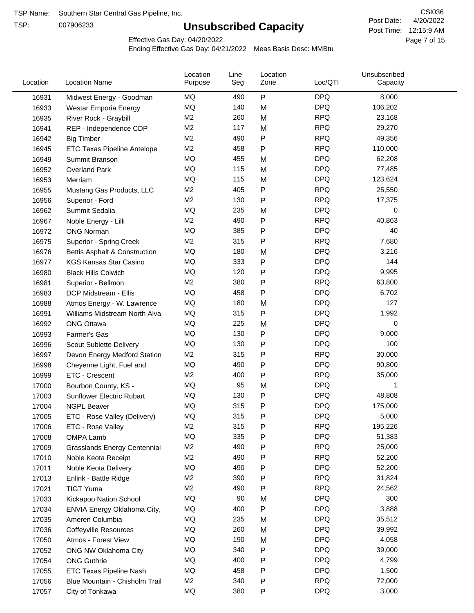TSP:

# **Unsubscribed Capacity**

4/20/2022 Page 7 of 15 Post Time: 12:15:9 AM CSI036 Post Date:

Effective Gas Day: 04/20/2022

| Location | <b>Location Name</b>                | Location<br>Purpose | Line<br>Seg | Location<br>Zone | Loc/QTI    | Unsubscribed<br>Capacity |  |
|----------|-------------------------------------|---------------------|-------------|------------------|------------|--------------------------|--|
| 16931    | Midwest Energy - Goodman            | MQ                  | 490         | P                | <b>DPQ</b> | 8,000                    |  |
| 16933    | Westar Emporia Energy               | MQ                  | 140         | M                | <b>DPQ</b> | 106,202                  |  |
| 16935    | River Rock - Graybill               | M <sub>2</sub>      | 260         | M                | <b>RPQ</b> | 23,168                   |  |
| 16941    | REP - Independence CDP              | M <sub>2</sub>      | 117         | M                | <b>RPQ</b> | 29,270                   |  |
| 16942    | <b>Big Timber</b>                   | M <sub>2</sub>      | 490         | $\mathsf{P}$     | <b>RPQ</b> | 49,356                   |  |
| 16945    | <b>ETC Texas Pipeline Antelope</b>  | M <sub>2</sub>      | 458         | $\mathsf{P}$     | <b>RPQ</b> | 110,000                  |  |
| 16949    | Summit Branson                      | MQ                  | 455         | M                | <b>DPQ</b> | 62,208                   |  |
| 16952    | <b>Overland Park</b>                | MQ                  | 115         | M                | <b>DPQ</b> | 77,485                   |  |
| 16953    | Merriam                             | MQ                  | 115         | M                | <b>DPQ</b> | 123,624                  |  |
| 16955    | Mustang Gas Products, LLC           | M <sub>2</sub>      | 405         | P                | <b>RPQ</b> | 25,550                   |  |
| 16956    | Superior - Ford                     | M <sub>2</sub>      | 130         | $\mathsf{P}$     | <b>RPQ</b> | 17,375                   |  |
| 16962    | Summit Sedalia                      | MQ                  | 235         | M                | <b>DPQ</b> | 0                        |  |
| 16967    | Noble Energy - Lilli                | M <sub>2</sub>      | 490         | P                | <b>RPQ</b> | 40,863                   |  |
| 16972    | <b>ONG Norman</b>                   | MQ                  | 385         | P                | <b>DPQ</b> | 40                       |  |
| 16975    | Superior - Spring Creek             | M <sub>2</sub>      | 315         | P                | <b>RPQ</b> | 7,680                    |  |
| 16976    | Bettis Asphalt & Construction       | MQ                  | 180         | M                | <b>DPQ</b> | 3,216                    |  |
| 16977    | <b>KGS Kansas Star Casino</b>       | MQ                  | 333         | ${\sf P}$        | <b>DPQ</b> | 144                      |  |
| 16980    | <b>Black Hills Colwich</b>          | MQ                  | 120         | P                | <b>DPQ</b> | 9,995                    |  |
| 16981    | Superior - Bellmon                  | M <sub>2</sub>      | 380         | P                | <b>RPQ</b> | 63,800                   |  |
| 16983    | DCP Midstream - Ellis               | MQ                  | 458         | $\mathsf{P}$     | <b>DPQ</b> | 6,702                    |  |
| 16988    | Atmos Energy - W. Lawrence          | MQ                  | 180         | M                | <b>DPQ</b> | 127                      |  |
| 16991    | Williams Midstream North Alva       | <b>MQ</b>           | 315         | $\mathsf{P}$     | <b>DPQ</b> | 1,992                    |  |
| 16992    | <b>ONG Ottawa</b>                   | MQ                  | 225         | M                | <b>DPQ</b> | 0                        |  |
| 16993    | Farmer's Gas                        | MQ                  | 130         | $\mathsf{P}$     | <b>DPQ</b> | 9,000                    |  |
| 16996    | Scout Sublette Delivery             | MQ                  | 130         | $\mathsf{P}$     | <b>DPQ</b> | 100                      |  |
| 16997    | Devon Energy Medford Station        | M <sub>2</sub>      | 315         | P                | <b>RPQ</b> | 30,000                   |  |
| 16998    | Cheyenne Light, Fuel and            | MQ                  | 490         | P                | <b>DPQ</b> | 90,800                   |  |
| 16999    | ETC - Crescent                      | M <sub>2</sub>      | 400         | P                | <b>RPQ</b> | 35,000                   |  |
| 17000    | Bourbon County, KS -                | MQ                  | 95          | M                | <b>DPQ</b> | 1                        |  |
| 17003    | Sunflower Electric Rubart           | MQ                  | 130         | P                | <b>DPQ</b> | 48,808                   |  |
| 17004    | <b>NGPL Beaver</b>                  | MQ                  | 315         | P                | <b>DPQ</b> | 175,000                  |  |
| 17005    | ETC - Rose Valley (Delivery)        | MQ                  | 315         | P                | <b>DPQ</b> | 5,000                    |  |
| 17006    | ETC - Rose Valley                   | M <sub>2</sub>      | 315         | P                | <b>RPQ</b> | 195,226                  |  |
| 17008    | OMPA Lamb                           | MQ                  | 335         | P                | <b>DPQ</b> | 51,383                   |  |
| 17009    | <b>Grasslands Energy Centennial</b> | M <sub>2</sub>      | 490         | P                | <b>RPQ</b> | 25,000                   |  |
| 17010    | Noble Keota Receipt                 | M <sub>2</sub>      | 490         | P                | <b>RPQ</b> | 52,200                   |  |
| 17011    | Noble Keota Delivery                | MQ                  | 490         | P                | <b>DPQ</b> | 52,200                   |  |
| 17013    | Enlink - Battle Ridge               | M <sub>2</sub>      | 390         | $\mathsf{P}$     | <b>RPQ</b> | 31,824                   |  |
| 17021    | <b>TIGT Yuma</b>                    | M <sub>2</sub>      | 490         | P                | <b>RPQ</b> | 24,562                   |  |
| 17033    | Kickapoo Nation School              | MQ                  | 90          | M                | <b>DPQ</b> | 300                      |  |
| 17034    | ENVIA Energy Oklahoma City,         | MQ                  | 400         | P                | <b>DPQ</b> | 3,888                    |  |
| 17035    | Ameren Columbia                     | MQ                  | 235         | M                | <b>DPQ</b> | 35,512                   |  |
| 17036    | <b>Coffeyville Resources</b>        | MQ                  | 260         | M                | <b>DPQ</b> | 39,992                   |  |
| 17050    | Atmos - Forest View                 | MQ                  | 190         | M                | <b>DPQ</b> | 4,058                    |  |
| 17052    | ONG NW Oklahoma City                | MQ                  | 340         | ${\sf P}$        | <b>DPQ</b> | 39,000                   |  |
| 17054    | <b>ONG Guthrie</b>                  | MQ                  | 400         | P                | <b>DPQ</b> | 4,799                    |  |
| 17055    | ETC Texas Pipeline Nash             | MQ                  | 458         | $\mathsf{P}$     | <b>DPQ</b> | 1,500                    |  |
| 17056    | Blue Mountain - Chisholm Trail      | M <sub>2</sub>      | 340         | P                | <b>RPQ</b> | 72,000                   |  |
| 17057    | City of Tonkawa                     | MQ                  | 380         | P                | <b>DPQ</b> | 3,000                    |  |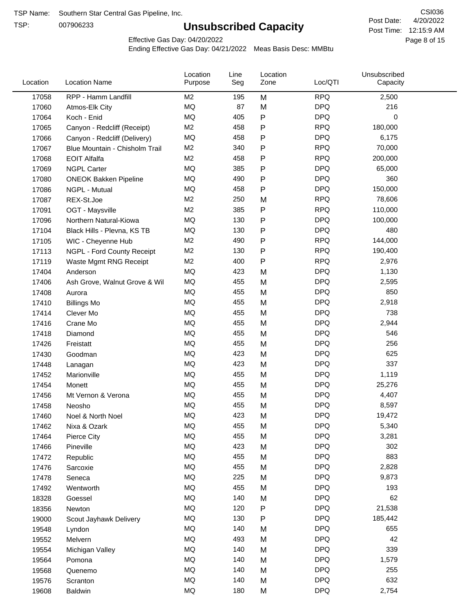TSP:

# **Unsubscribed Capacity**

4/20/2022 Page 8 of 15 Post Time: 12:15:9 AM CSI036 Post Date:

Effective Gas Day: 04/20/2022

| Location | <b>Location Name</b>           | Location<br>Purpose | Line<br>Seg | Location<br>Zone | Loc/QTI    | Unsubscribed<br>Capacity |  |
|----------|--------------------------------|---------------------|-------------|------------------|------------|--------------------------|--|
| 17058    | RPP - Hamm Landfill            | M <sub>2</sub>      | 195         | M                | <b>RPQ</b> | 2,500                    |  |
| 17060    | Atmos-Elk City                 | MQ                  | 87          | M                | <b>DPQ</b> | 216                      |  |
| 17064    | Koch - Enid                    | MQ                  | 405         | ${\sf P}$        | <b>DPQ</b> | 0                        |  |
| 17065    | Canyon - Redcliff (Receipt)    | M <sub>2</sub>      | 458         | P                | <b>RPQ</b> | 180,000                  |  |
| 17066    | Canyon - Redcliff (Delivery)   | <b>MQ</b>           | 458         | P                | <b>DPQ</b> | 6,175                    |  |
| 17067    | Blue Mountain - Chisholm Trail | M <sub>2</sub>      | 340         | ${\sf P}$        | <b>RPQ</b> | 70,000                   |  |
| 17068    | <b>EOIT Alfalfa</b>            | M <sub>2</sub>      | 458         | P                | <b>RPQ</b> | 200,000                  |  |
| 17069    | <b>NGPL Carter</b>             | <b>MQ</b>           | 385         | P                | <b>DPQ</b> | 65,000                   |  |
| 17080    | <b>ONEOK Bakken Pipeline</b>   | MQ                  | 490         | P                | <b>DPQ</b> | 360                      |  |
| 17086    | NGPL - Mutual                  | <b>MQ</b>           | 458         | ${\sf P}$        | <b>DPQ</b> | 150,000                  |  |
| 17087    | REX-St.Joe                     | M <sub>2</sub>      | 250         | M                | <b>RPQ</b> | 78,606                   |  |
| 17091    | OGT - Maysville                | M <sub>2</sub>      | 385         | ${\sf P}$        | <b>RPQ</b> | 110,000                  |  |
| 17096    | Northern Natural-Kiowa         | <b>MQ</b>           | 130         | ${\sf P}$        | <b>DPQ</b> | 100,000                  |  |
| 17104    | Black Hills - Plevna, KS TB    | <b>MQ</b>           | 130         | P                | <b>DPQ</b> | 480                      |  |
| 17105    | WIC - Cheyenne Hub             | M2                  | 490         | ${\sf P}$        | <b>RPQ</b> | 144,000                  |  |
| 17113    | NGPL - Ford County Receipt     | M <sub>2</sub>      | 130         | P                | <b>RPQ</b> | 190,400                  |  |
| 17119    | Waste Mgmt RNG Receipt         | M2                  | 400         | P                | <b>RPQ</b> | 2,976                    |  |
| 17404    | Anderson                       | MQ                  | 423         | M                | <b>DPQ</b> | 1,130                    |  |
| 17406    | Ash Grove, Walnut Grove & Wil  | <b>MQ</b>           | 455         | M                | <b>DPQ</b> | 2,595                    |  |
| 17408    | Aurora                         | <b>MQ</b>           | 455         | M                | <b>DPQ</b> | 850                      |  |
| 17410    | <b>Billings Mo</b>             | <b>MQ</b>           | 455         | M                | <b>DPQ</b> | 2,918                    |  |
| 17414    | Clever Mo                      | <b>MQ</b>           | 455         | M                | <b>DPQ</b> | 738                      |  |
| 17416    | Crane Mo                       | <b>MQ</b>           | 455         | M                | <b>DPQ</b> | 2,944                    |  |
| 17418    | Diamond                        | <b>MQ</b>           | 455         | M                | <b>DPQ</b> | 546                      |  |
| 17426    | Freistatt                      | <b>MQ</b>           | 455         | M                | <b>DPQ</b> | 256                      |  |
| 17430    | Goodman                        | <b>MQ</b>           | 423         | M                | <b>DPQ</b> | 625                      |  |
| 17448    | Lanagan                        | <b>MQ</b>           | 423         | M                | <b>DPQ</b> | 337                      |  |
| 17452    | Marionville                    | <b>MQ</b>           | 455         | M                | <b>DPQ</b> | 1,119                    |  |
| 17454    | Monett                         | <b>MQ</b>           | 455         | M                | <b>DPQ</b> | 25,276                   |  |
| 17456    | Mt Vernon & Verona             | MQ                  | 455         | M                | <b>DPQ</b> | 4,407                    |  |
| 17458    | Neosho                         | <b>MQ</b>           | 455         | M                | <b>DPQ</b> | 8,597                    |  |
| 17460    | Noel & North Noel              | MQ                  | 423         | M                | <b>DPQ</b> | 19,472                   |  |
| 17462    | Nixa & Ozark                   | MQ                  | 455         | M                | <b>DPQ</b> | 5,340                    |  |
| 17464    | Pierce City                    | $\sf{MQ}$           | 455         | M                | <b>DPQ</b> | 3,281                    |  |
| 17466    | Pineville                      | MQ                  | 423         | M                | <b>DPQ</b> | 302                      |  |
| 17472    | Republic                       | MQ                  | 455         | M                | <b>DPQ</b> | 883                      |  |
| 17476    | Sarcoxie                       | MQ                  | 455         | M                | <b>DPQ</b> | 2,828                    |  |
| 17478    | Seneca                         | MQ                  | 225         | M                | <b>DPQ</b> | 9,873                    |  |
| 17492    | Wentworth                      | MQ                  | 455         | M                | <b>DPQ</b> | 193                      |  |
| 18328    | Goessel                        | MQ                  | 140         | M                | <b>DPQ</b> | 62                       |  |
| 18356    | Newton                         | MQ                  | 120         | ${\sf P}$        | <b>DPQ</b> | 21,538                   |  |
| 19000    | Scout Jayhawk Delivery         | MQ                  | 130         | P                | <b>DPQ</b> | 185,442                  |  |
| 19548    | Lyndon                         | MQ                  | 140         | M                | <b>DPQ</b> | 655                      |  |
| 19552    | Melvern                        | MQ                  | 493         | M                | <b>DPQ</b> | 42                       |  |
| 19554    | Michigan Valley                | MQ                  | 140         | M                | <b>DPQ</b> | 339                      |  |
| 19564    | Pomona                         | MQ                  | 140         | M                | <b>DPQ</b> | 1,579                    |  |
| 19568    | Quenemo                        | MQ                  | 140         | M                | <b>DPQ</b> | 255                      |  |
| 19576    | Scranton                       | MQ                  | 140         | M                | <b>DPQ</b> | 632                      |  |
| 19608    | Baldwin                        | $\sf{MQ}$           | 180         | M                | <b>DPQ</b> | 2,754                    |  |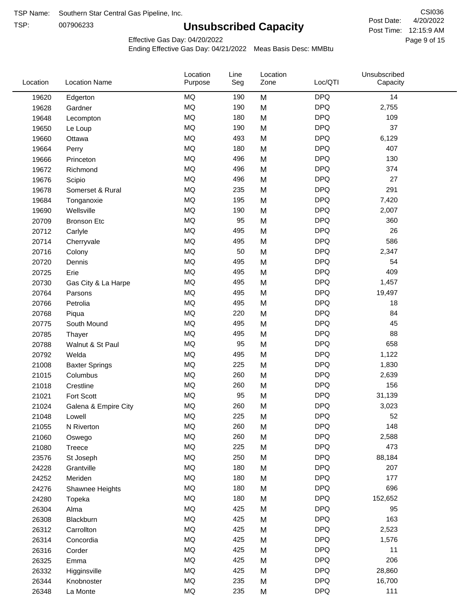TSP:

# **Unsubscribed Capacity**

4/20/2022 Page 9 of 15 Post Time: 12:15:9 AM CSI036 Post Date:

Effective Gas Day: 04/20/2022

| Location | <b>Location Name</b>  | Location<br>Purpose | Line<br>Seg | Location<br>Zone | Loc/QTI    | Unsubscribed<br>Capacity |  |
|----------|-----------------------|---------------------|-------------|------------------|------------|--------------------------|--|
| 19620    | Edgerton              | <b>MQ</b>           | 190         | M                | <b>DPQ</b> | 14                       |  |
| 19628    | Gardner               | MQ                  | 190         | M                | <b>DPQ</b> | 2,755                    |  |
| 19648    | Lecompton             | MQ                  | 180         | M                | <b>DPQ</b> | 109                      |  |
| 19650    | Le Loup               | <b>MQ</b>           | 190         | M                | <b>DPQ</b> | 37                       |  |
| 19660    | Ottawa                | <b>MQ</b>           | 493         | M                | <b>DPQ</b> | 6,129                    |  |
| 19664    | Perry                 | <b>MQ</b>           | 180         | M                | <b>DPQ</b> | 407                      |  |
| 19666    | Princeton             | MQ                  | 496         | M                | <b>DPQ</b> | 130                      |  |
| 19672    | Richmond              | MQ                  | 496         | M                | <b>DPQ</b> | 374                      |  |
| 19676    | Scipio                | <b>MQ</b>           | 496         | M                | <b>DPQ</b> | 27                       |  |
| 19678    | Somerset & Rural      | MQ                  | 235         | M                | <b>DPQ</b> | 291                      |  |
| 19684    | Tonganoxie            | MQ                  | 195         | M                | <b>DPQ</b> | 7,420                    |  |
| 19690    | Wellsville            | MQ                  | 190         | M                | <b>DPQ</b> | 2,007                    |  |
| 20709    | <b>Bronson Etc</b>    | <b>MQ</b>           | 95          | M                | <b>DPQ</b> | 360                      |  |
| 20712    | Carlyle               | <b>MQ</b>           | 495         | M                | <b>DPQ</b> | 26                       |  |
| 20714    | Cherryvale            | MQ                  | 495         | M                | <b>DPQ</b> | 586                      |  |
| 20716    | Colony                | MQ                  | 50          | M                | <b>DPQ</b> | 2,347                    |  |
| 20720    | Dennis                | <b>MQ</b>           | 495         | M                | <b>DPQ</b> | 54                       |  |
| 20725    | Erie                  | <b>MQ</b>           | 495         | M                | <b>DPQ</b> | 409                      |  |
| 20730    | Gas City & La Harpe   | <b>MQ</b>           | 495         | M                | <b>DPQ</b> | 1,457                    |  |
| 20764    | Parsons               | <b>MQ</b>           | 495         | M                | <b>DPQ</b> | 19,497                   |  |
| 20766    | Petrolia              | MQ                  | 495         | M                | <b>DPQ</b> | 18                       |  |
| 20768    | Piqua                 | <b>MQ</b>           | 220         | M                | <b>DPQ</b> | 84                       |  |
| 20775    | South Mound           | MQ                  | 495         | M                | <b>DPQ</b> | 45                       |  |
| 20785    | Thayer                | MQ                  | 495         | M                | <b>DPQ</b> | 88                       |  |
| 20788    | Walnut & St Paul      | MQ                  | 95          | M                | <b>DPQ</b> | 658                      |  |
| 20792    | Welda                 | <b>MQ</b>           | 495         | M                | <b>DPQ</b> | 1,122                    |  |
| 21008    | <b>Baxter Springs</b> | <b>MQ</b>           | 225         | M                | <b>DPQ</b> | 1,830                    |  |
| 21015    | Columbus              | <b>MQ</b>           | 260         | M                | <b>DPQ</b> | 2,639                    |  |
| 21018    | Crestline             | MQ                  | 260         | M                | <b>DPQ</b> | 156                      |  |
| 21021    | Fort Scott            | MQ                  | 95          | M                | <b>DPQ</b> | 31,139                   |  |
| 21024    | Galena & Empire City  | <b>MQ</b>           | 260         | M                | <b>DPQ</b> | 3,023                    |  |
| 21048    | Lowell                | $\sf{MQ}$           | 225         | M                | <b>DPQ</b> | 52                       |  |
| 21055    | N Riverton            | MQ                  | 260         | M                | <b>DPQ</b> | 148                      |  |
| 21060    | Oswego                | $\sf{MQ}$           | 260         | M                | <b>DPQ</b> | 2,588                    |  |
| 21080    | Treece                | MQ                  | 225         | M                | <b>DPQ</b> | 473                      |  |
| 23576    | St Joseph             | MQ                  | 250         | M                | <b>DPQ</b> | 88,184                   |  |
| 24228    | Grantville            | MQ                  | 180         | M                | <b>DPQ</b> | 207                      |  |
| 24252    | Meriden               | MQ                  | 180         | M                | <b>DPQ</b> | 177                      |  |
| 24276    | Shawnee Heights       | $\sf{MQ}$           | 180         | M                | <b>DPQ</b> | 696                      |  |
| 24280    | Topeka                | $\sf{MQ}$           | 180         | M                | <b>DPQ</b> | 152,652                  |  |
| 26304    | Alma                  | MQ                  | 425         | M                | <b>DPQ</b> | 95                       |  |
| 26308    | Blackburn             | MQ                  | 425         | M                | <b>DPQ</b> | 163                      |  |
| 26312    | Carrollton            | MQ                  | 425         | M                | <b>DPQ</b> | 2,523                    |  |
| 26314    | Concordia             | MQ                  | 425         | M                | <b>DPQ</b> | 1,576                    |  |
| 26316    | Corder                | MQ                  | 425         | M                | <b>DPQ</b> | 11                       |  |
| 26325    | Emma                  | MQ                  | 425         | M                | <b>DPQ</b> | 206                      |  |
| 26332    | Higginsville          | MQ                  | 425         | M                | <b>DPQ</b> | 28,860                   |  |
| 26344    | Knobnoster            | $\sf{MQ}$           | 235         | M                | <b>DPQ</b> | 16,700                   |  |
| 26348    | La Monte              | $\sf{MQ}$           | 235         | M                | <b>DPQ</b> | 111                      |  |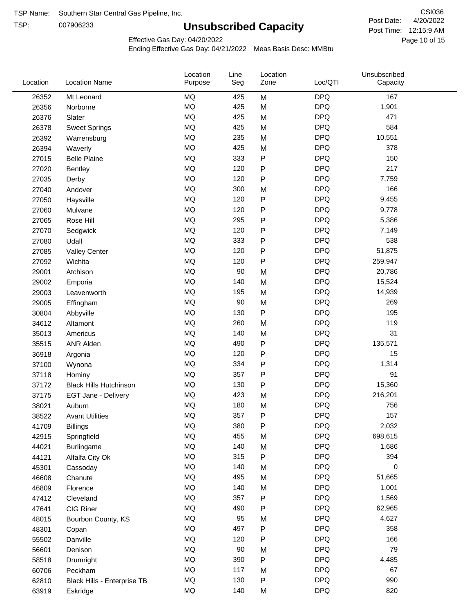TSP:

# **Unsubscribed Capacity**

4/20/2022 Page 10 of 15 Post Time: 12:15:9 AM CSI036 Post Date:

Effective Gas Day: 04/20/2022

| Location | <b>Location Name</b>          | Location<br>Purpose | Line<br>Seg | Location<br>Zone | Loc/QTI    | Unsubscribed<br>Capacity |  |
|----------|-------------------------------|---------------------|-------------|------------------|------------|--------------------------|--|
| 26352    | Mt Leonard                    | MQ                  | 425         | M                | <b>DPQ</b> | 167                      |  |
| 26356    | Norborne                      | MQ                  | 425         | M                | <b>DPQ</b> | 1,901                    |  |
| 26376    | Slater                        | MQ                  | 425         | M                | <b>DPQ</b> | 471                      |  |
| 26378    | <b>Sweet Springs</b>          | MQ                  | 425         | M                | <b>DPQ</b> | 584                      |  |
| 26392    | Warrensburg                   | MQ                  | 235         | M                | <b>DPQ</b> | 10,551                   |  |
| 26394    | Waverly                       | <b>MQ</b>           | 425         | M                | <b>DPQ</b> | 378                      |  |
| 27015    | <b>Belle Plaine</b>           | MQ                  | 333         | ${\sf P}$        | <b>DPQ</b> | 150                      |  |
| 27020    | <b>Bentley</b>                | MQ                  | 120         | ${\sf P}$        | <b>DPQ</b> | 217                      |  |
| 27035    | Derby                         | MQ                  | 120         | $\mathsf{P}$     | <b>DPQ</b> | 7,759                    |  |
| 27040    | Andover                       | MQ                  | 300         | M                | <b>DPQ</b> | 166                      |  |
| 27050    | Haysville                     | MQ                  | 120         | ${\sf P}$        | <b>DPQ</b> | 9,455                    |  |
| 27060    | Mulvane                       | MQ                  | 120         | P                | <b>DPQ</b> | 9,778                    |  |
| 27065    | Rose Hill                     | MQ                  | 295         | P                | <b>DPQ</b> | 5,386                    |  |
| 27070    | Sedgwick                      | MQ                  | 120         | P                | <b>DPQ</b> | 7,149                    |  |
| 27080    | Udall                         | MQ                  | 333         | ${\sf P}$        | <b>DPQ</b> | 538                      |  |
| 27085    | <b>Valley Center</b>          | MQ                  | 120         | P                | <b>DPQ</b> | 51,875                   |  |
| 27092    | Wichita                       | MQ                  | 120         | ${\sf P}$        | <b>DPQ</b> | 259,947                  |  |
| 29001    | Atchison                      | MQ                  | 90          | M                | <b>DPQ</b> | 20,786                   |  |
| 29002    | Emporia                       | MQ                  | 140         | M                | <b>DPQ</b> | 15,524                   |  |
| 29003    | Leavenworth                   | MQ                  | 195         | M                | <b>DPQ</b> | 14,939                   |  |
| 29005    | Effingham                     | MQ                  | 90          | M                | <b>DPQ</b> | 269                      |  |
| 30804    | Abbyville                     | MQ                  | 130         | ${\sf P}$        | <b>DPQ</b> | 195                      |  |
| 34612    | Altamont                      | MQ                  | 260         | M                | <b>DPQ</b> | 119                      |  |
| 35013    | Americus                      | MQ                  | 140         | M                | <b>DPQ</b> | 31                       |  |
| 35515    | ANR Alden                     | MQ                  | 490         | ${\sf P}$        | <b>DPQ</b> | 135,571                  |  |
| 36918    | Argonia                       | MQ                  | 120         | ${\sf P}$        | <b>DPQ</b> | 15                       |  |
| 37100    | Wynona                        | MQ                  | 334         | P                | <b>DPQ</b> | 1,314                    |  |
| 37118    | Hominy                        | MQ                  | 357         | P                | <b>DPQ</b> | 91                       |  |
| 37172    | <b>Black Hills Hutchinson</b> | MQ                  | 130         | ${\sf P}$        | <b>DPQ</b> | 15,360                   |  |
| 37175    | EGT Jane - Delivery           | MQ                  | 423         | M                | <b>DPQ</b> | 216,201                  |  |
| 38021    | Auburn                        | MQ                  | 180         | M                | <b>DPQ</b> | 756                      |  |
| 38522    | <b>Avant Utilities</b>        | MQ                  | 357         | P                | <b>DPQ</b> | 157                      |  |
| 41709    | <b>Billings</b>               | MQ                  | 380         | P                | <b>DPQ</b> | 2,032                    |  |
| 42915    | Springfield                   | $\sf{MQ}$           | 455         | M                | <b>DPQ</b> | 698,615                  |  |
| 44021    | <b>Burlingame</b>             | $\sf{MQ}$           | 140         | M                | <b>DPQ</b> | 1,686                    |  |
| 44121    | Alfalfa City Ok               | $\sf{MQ}$           | 315         | P                | <b>DPQ</b> | 394                      |  |
| 45301    | Cassoday                      | MQ                  | 140         | M                | <b>DPQ</b> | 0                        |  |
| 46608    | Chanute                       | MQ                  | 495         | M                | <b>DPQ</b> | 51,665                   |  |
| 46809    | Florence                      | MQ                  | 140         | M                | <b>DPQ</b> | 1,001                    |  |
| 47412    | Cleveland                     | MQ                  | 357         | P                | <b>DPQ</b> | 1,569                    |  |
| 47641    | CIG Riner                     | MQ                  | 490         | P                | <b>DPQ</b> | 62,965                   |  |
| 48015    | Bourbon County, KS            | MQ                  | 95          | M                | <b>DPQ</b> | 4,627                    |  |
| 48301    | Copan                         | MQ                  | 497         | ${\sf P}$        | <b>DPQ</b> | 358                      |  |
| 55502    | Danville                      | MQ                  | 120         | ${\sf P}$        | <b>DPQ</b> | 166                      |  |
| 56601    | Denison                       | MQ                  | 90          | M                | <b>DPQ</b> | 79                       |  |
| 58518    | Drumright                     | MQ                  | 390         | P                | <b>DPQ</b> | 4,485                    |  |
| 60706    | Peckham                       | MQ                  | 117         | M                | <b>DPQ</b> | 67                       |  |
| 62810    | Black Hills - Enterprise TB   | MQ                  | 130         | ${\sf P}$        | <b>DPQ</b> | 990                      |  |
| 63919    | Eskridge                      | $\sf{MQ}$           | 140         | M                | <b>DPQ</b> | 820                      |  |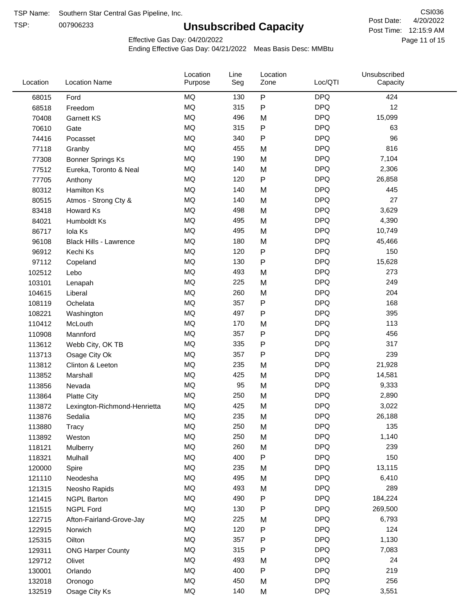TSP:

# **Unsubscribed Capacity**

4/20/2022 Page 11 of 15 Post Time: 12:15:9 AM CSI036 Post Date:

Effective Gas Day: 04/20/2022

| P<br><b>MQ</b><br><b>DPQ</b><br>130<br>424<br>68015<br>Ford<br><b>MQ</b><br><b>DPQ</b><br>12<br>315<br>P<br>68518<br>Freedom<br><b>MQ</b><br><b>DPQ</b><br>496<br>15,099<br>M<br>70408<br><b>Garnett KS</b><br><b>MQ</b><br>315<br><b>DPQ</b><br>P<br>63<br>70610<br>Gate<br><b>MQ</b><br>P<br><b>DPQ</b><br>96<br>340<br>74416<br>Pocasset<br><b>MQ</b><br><b>DPQ</b><br>816<br>455<br>77118<br>M<br>Granby<br><b>MQ</b><br><b>DPQ</b><br>190<br>7,104<br>M<br>77308<br><b>Bonner Springs Ks</b><br><b>MQ</b><br><b>DPQ</b><br>140<br>2,306<br>M<br>77512<br>Eureka, Toronto & Neal<br><b>MQ</b><br>P<br><b>DPQ</b><br>77705<br>120<br>26,858<br>Anthony<br><b>MQ</b><br><b>DPQ</b><br>445<br>140<br>M<br>80312<br><b>Hamilton Ks</b><br><b>MQ</b><br><b>DPQ</b><br>27<br>140<br>80515<br>M<br>Atmos - Strong Cty &<br><b>MQ</b><br><b>DPQ</b><br>498<br>M<br>3,629<br>83418<br>Howard Ks<br><b>MQ</b><br><b>DPQ</b><br>495<br>4,390<br>84021<br>M<br>Humboldt Ks<br><b>MQ</b><br><b>DPQ</b><br>495<br>M<br>10,749<br>86717<br>Iola Ks<br><b>MQ</b><br><b>DPQ</b><br>180<br>45,466<br>M<br>96108<br><b>Black Hills - Lawrence</b><br><b>MQ</b><br>P<br><b>DPQ</b><br>150<br>120<br>Kechi Ks<br>96912<br><b>MQ</b><br><b>DPQ</b><br>15,628<br>130<br>P<br>97112<br>Copeland<br><b>MQ</b><br><b>DPQ</b><br>493<br>273<br>M<br>102512<br>Lebo<br><b>MQ</b><br><b>DPQ</b><br>249<br>225<br>M<br>103101<br>Lenapah<br><b>MQ</b><br><b>DPQ</b><br>204<br>260<br>M<br>104615<br>Liberal<br><b>MQ</b><br><b>DPQ</b><br>168<br>357<br>P<br>108119<br>Ochelata<br><b>MQ</b><br>497<br>P<br><b>DPQ</b><br>395<br>108221<br>Washington<br><b>DPQ</b><br><b>MQ</b><br>113<br>170<br>110412<br>McLouth<br>M<br><b>MQ</b><br>P<br><b>DPQ</b><br>456<br>Mannford<br>357<br>110908<br><b>MQ</b><br>P<br><b>DPQ</b><br>317<br>335<br>113612<br>Webb City, OK TB<br><b>MQ</b><br><b>DPQ</b><br>239<br>357<br>P<br>113713<br>Osage City Ok<br><b>MQ</b><br><b>DPQ</b><br>235<br>21,928<br>M<br>113812<br>Clinton & Leeton<br><b>MQ</b><br><b>DPQ</b><br>425<br>113852<br>M<br>14,581<br>Marshall<br><b>MQ</b><br><b>DPQ</b><br>95<br>M<br>9,333<br>113856<br>Nevada<br><b>MQ</b><br><b>DPQ</b><br>250<br>2,890<br>M<br>113864<br><b>Platte City</b><br><b>MQ</b><br>425<br><b>DPQ</b><br>M<br>3,022<br>113872<br>Lexington-Richmond-Henrietta<br><b>MQ</b><br>235<br><b>DPQ</b><br>26,188<br>113876<br>M<br>Sedalia<br>MQ<br>250<br><b>DPQ</b><br>135<br>M<br>113880<br>Tracy<br>MQ<br><b>DPQ</b><br>250<br>1,140<br>M<br>113892<br>Weston<br><b>MQ</b><br><b>DPQ</b><br>260<br>M<br>239<br>118121<br>Mulberry<br>150<br>MQ<br>400<br>P<br><b>DPQ</b><br>118321<br>Mulhall<br><b>MQ</b><br><b>DPQ</b><br>235<br>13,115<br>120000<br>Spire<br>M<br>MQ<br><b>DPQ</b><br>495<br>6,410<br>121110<br>Neodesha<br>M<br>MQ<br><b>DPQ</b><br>289<br>493<br>M<br>121315<br>Neosho Rapids<br>MQ<br><b>DPQ</b><br>184,224<br>490<br>Ρ<br>121415<br><b>NGPL Barton</b><br><b>DPQ</b><br>MQ<br>130<br>269,500<br>121515<br><b>NGPL Ford</b><br>Ρ<br>MQ<br><b>DPQ</b><br>225<br>6,793<br>122715<br>Afton-Fairland-Grove-Jay<br>M<br>MQ<br><b>DPQ</b><br>124<br>120<br>P<br>122915<br>Norwich<br><b>MQ</b><br><b>DPQ</b><br>357<br>Ρ<br>1,130<br>125315<br>Oilton<br><b>DPQ</b><br>MQ<br>315<br>7,083<br>Ρ<br>129311<br><b>ONG Harper County</b><br>MQ<br><b>DPQ</b><br>493<br>24<br>129712<br>Olivet<br>M<br>MQ<br>400<br><b>DPQ</b><br>219<br>P<br>130001<br>Orlando<br>MQ<br><b>DPQ</b><br>256<br>450<br>M<br>132018<br>Oronogo<br><b>MQ</b><br><b>DPQ</b><br>140<br>3,551<br>Osage City Ks<br>M<br>132519 | Location | <b>Location Name</b> | Location<br>Purpose | Line<br>Seg | Location<br>Zone | Loc/QTI | Unsubscribed<br>Capacity |  |
|-----------------------------------------------------------------------------------------------------------------------------------------------------------------------------------------------------------------------------------------------------------------------------------------------------------------------------------------------------------------------------------------------------------------------------------------------------------------------------------------------------------------------------------------------------------------------------------------------------------------------------------------------------------------------------------------------------------------------------------------------------------------------------------------------------------------------------------------------------------------------------------------------------------------------------------------------------------------------------------------------------------------------------------------------------------------------------------------------------------------------------------------------------------------------------------------------------------------------------------------------------------------------------------------------------------------------------------------------------------------------------------------------------------------------------------------------------------------------------------------------------------------------------------------------------------------------------------------------------------------------------------------------------------------------------------------------------------------------------------------------------------------------------------------------------------------------------------------------------------------------------------------------------------------------------------------------------------------------------------------------------------------------------------------------------------------------------------------------------------------------------------------------------------------------------------------------------------------------------------------------------------------------------------------------------------------------------------------------------------------------------------------------------------------------------------------------------------------------------------------------------------------------------------------------------------------------------------------------------------------------------------------------------------------------------------------------------------------------------------------------------------------------------------------------------------------------------------------------------------------------------------------------------------------------------------------------------------------------------------------------------------------------------------------------------------------------------------------------------------------------------------------------------------------------------------------------------------------------------------------------------------------------------------------------------------------------------------------------------------------------------------------------------------------------------------------------------------------------------------------------------------------------------------------------------------------------------|----------|----------------------|---------------------|-------------|------------------|---------|--------------------------|--|
|                                                                                                                                                                                                                                                                                                                                                                                                                                                                                                                                                                                                                                                                                                                                                                                                                                                                                                                                                                                                                                                                                                                                                                                                                                                                                                                                                                                                                                                                                                                                                                                                                                                                                                                                                                                                                                                                                                                                                                                                                                                                                                                                                                                                                                                                                                                                                                                                                                                                                                                                                                                                                                                                                                                                                                                                                                                                                                                                                                                                                                                                                                                                                                                                                                                                                                                                                                                                                                                                                                                                                                             |          |                      |                     |             |                  |         |                          |  |
|                                                                                                                                                                                                                                                                                                                                                                                                                                                                                                                                                                                                                                                                                                                                                                                                                                                                                                                                                                                                                                                                                                                                                                                                                                                                                                                                                                                                                                                                                                                                                                                                                                                                                                                                                                                                                                                                                                                                                                                                                                                                                                                                                                                                                                                                                                                                                                                                                                                                                                                                                                                                                                                                                                                                                                                                                                                                                                                                                                                                                                                                                                                                                                                                                                                                                                                                                                                                                                                                                                                                                                             |          |                      |                     |             |                  |         |                          |  |
|                                                                                                                                                                                                                                                                                                                                                                                                                                                                                                                                                                                                                                                                                                                                                                                                                                                                                                                                                                                                                                                                                                                                                                                                                                                                                                                                                                                                                                                                                                                                                                                                                                                                                                                                                                                                                                                                                                                                                                                                                                                                                                                                                                                                                                                                                                                                                                                                                                                                                                                                                                                                                                                                                                                                                                                                                                                                                                                                                                                                                                                                                                                                                                                                                                                                                                                                                                                                                                                                                                                                                                             |          |                      |                     |             |                  |         |                          |  |
|                                                                                                                                                                                                                                                                                                                                                                                                                                                                                                                                                                                                                                                                                                                                                                                                                                                                                                                                                                                                                                                                                                                                                                                                                                                                                                                                                                                                                                                                                                                                                                                                                                                                                                                                                                                                                                                                                                                                                                                                                                                                                                                                                                                                                                                                                                                                                                                                                                                                                                                                                                                                                                                                                                                                                                                                                                                                                                                                                                                                                                                                                                                                                                                                                                                                                                                                                                                                                                                                                                                                                                             |          |                      |                     |             |                  |         |                          |  |
|                                                                                                                                                                                                                                                                                                                                                                                                                                                                                                                                                                                                                                                                                                                                                                                                                                                                                                                                                                                                                                                                                                                                                                                                                                                                                                                                                                                                                                                                                                                                                                                                                                                                                                                                                                                                                                                                                                                                                                                                                                                                                                                                                                                                                                                                                                                                                                                                                                                                                                                                                                                                                                                                                                                                                                                                                                                                                                                                                                                                                                                                                                                                                                                                                                                                                                                                                                                                                                                                                                                                                                             |          |                      |                     |             |                  |         |                          |  |
|                                                                                                                                                                                                                                                                                                                                                                                                                                                                                                                                                                                                                                                                                                                                                                                                                                                                                                                                                                                                                                                                                                                                                                                                                                                                                                                                                                                                                                                                                                                                                                                                                                                                                                                                                                                                                                                                                                                                                                                                                                                                                                                                                                                                                                                                                                                                                                                                                                                                                                                                                                                                                                                                                                                                                                                                                                                                                                                                                                                                                                                                                                                                                                                                                                                                                                                                                                                                                                                                                                                                                                             |          |                      |                     |             |                  |         |                          |  |
|                                                                                                                                                                                                                                                                                                                                                                                                                                                                                                                                                                                                                                                                                                                                                                                                                                                                                                                                                                                                                                                                                                                                                                                                                                                                                                                                                                                                                                                                                                                                                                                                                                                                                                                                                                                                                                                                                                                                                                                                                                                                                                                                                                                                                                                                                                                                                                                                                                                                                                                                                                                                                                                                                                                                                                                                                                                                                                                                                                                                                                                                                                                                                                                                                                                                                                                                                                                                                                                                                                                                                                             |          |                      |                     |             |                  |         |                          |  |
|                                                                                                                                                                                                                                                                                                                                                                                                                                                                                                                                                                                                                                                                                                                                                                                                                                                                                                                                                                                                                                                                                                                                                                                                                                                                                                                                                                                                                                                                                                                                                                                                                                                                                                                                                                                                                                                                                                                                                                                                                                                                                                                                                                                                                                                                                                                                                                                                                                                                                                                                                                                                                                                                                                                                                                                                                                                                                                                                                                                                                                                                                                                                                                                                                                                                                                                                                                                                                                                                                                                                                                             |          |                      |                     |             |                  |         |                          |  |
|                                                                                                                                                                                                                                                                                                                                                                                                                                                                                                                                                                                                                                                                                                                                                                                                                                                                                                                                                                                                                                                                                                                                                                                                                                                                                                                                                                                                                                                                                                                                                                                                                                                                                                                                                                                                                                                                                                                                                                                                                                                                                                                                                                                                                                                                                                                                                                                                                                                                                                                                                                                                                                                                                                                                                                                                                                                                                                                                                                                                                                                                                                                                                                                                                                                                                                                                                                                                                                                                                                                                                                             |          |                      |                     |             |                  |         |                          |  |
|                                                                                                                                                                                                                                                                                                                                                                                                                                                                                                                                                                                                                                                                                                                                                                                                                                                                                                                                                                                                                                                                                                                                                                                                                                                                                                                                                                                                                                                                                                                                                                                                                                                                                                                                                                                                                                                                                                                                                                                                                                                                                                                                                                                                                                                                                                                                                                                                                                                                                                                                                                                                                                                                                                                                                                                                                                                                                                                                                                                                                                                                                                                                                                                                                                                                                                                                                                                                                                                                                                                                                                             |          |                      |                     |             |                  |         |                          |  |
|                                                                                                                                                                                                                                                                                                                                                                                                                                                                                                                                                                                                                                                                                                                                                                                                                                                                                                                                                                                                                                                                                                                                                                                                                                                                                                                                                                                                                                                                                                                                                                                                                                                                                                                                                                                                                                                                                                                                                                                                                                                                                                                                                                                                                                                                                                                                                                                                                                                                                                                                                                                                                                                                                                                                                                                                                                                                                                                                                                                                                                                                                                                                                                                                                                                                                                                                                                                                                                                                                                                                                                             |          |                      |                     |             |                  |         |                          |  |
|                                                                                                                                                                                                                                                                                                                                                                                                                                                                                                                                                                                                                                                                                                                                                                                                                                                                                                                                                                                                                                                                                                                                                                                                                                                                                                                                                                                                                                                                                                                                                                                                                                                                                                                                                                                                                                                                                                                                                                                                                                                                                                                                                                                                                                                                                                                                                                                                                                                                                                                                                                                                                                                                                                                                                                                                                                                                                                                                                                                                                                                                                                                                                                                                                                                                                                                                                                                                                                                                                                                                                                             |          |                      |                     |             |                  |         |                          |  |
|                                                                                                                                                                                                                                                                                                                                                                                                                                                                                                                                                                                                                                                                                                                                                                                                                                                                                                                                                                                                                                                                                                                                                                                                                                                                                                                                                                                                                                                                                                                                                                                                                                                                                                                                                                                                                                                                                                                                                                                                                                                                                                                                                                                                                                                                                                                                                                                                                                                                                                                                                                                                                                                                                                                                                                                                                                                                                                                                                                                                                                                                                                                                                                                                                                                                                                                                                                                                                                                                                                                                                                             |          |                      |                     |             |                  |         |                          |  |
|                                                                                                                                                                                                                                                                                                                                                                                                                                                                                                                                                                                                                                                                                                                                                                                                                                                                                                                                                                                                                                                                                                                                                                                                                                                                                                                                                                                                                                                                                                                                                                                                                                                                                                                                                                                                                                                                                                                                                                                                                                                                                                                                                                                                                                                                                                                                                                                                                                                                                                                                                                                                                                                                                                                                                                                                                                                                                                                                                                                                                                                                                                                                                                                                                                                                                                                                                                                                                                                                                                                                                                             |          |                      |                     |             |                  |         |                          |  |
|                                                                                                                                                                                                                                                                                                                                                                                                                                                                                                                                                                                                                                                                                                                                                                                                                                                                                                                                                                                                                                                                                                                                                                                                                                                                                                                                                                                                                                                                                                                                                                                                                                                                                                                                                                                                                                                                                                                                                                                                                                                                                                                                                                                                                                                                                                                                                                                                                                                                                                                                                                                                                                                                                                                                                                                                                                                                                                                                                                                                                                                                                                                                                                                                                                                                                                                                                                                                                                                                                                                                                                             |          |                      |                     |             |                  |         |                          |  |
|                                                                                                                                                                                                                                                                                                                                                                                                                                                                                                                                                                                                                                                                                                                                                                                                                                                                                                                                                                                                                                                                                                                                                                                                                                                                                                                                                                                                                                                                                                                                                                                                                                                                                                                                                                                                                                                                                                                                                                                                                                                                                                                                                                                                                                                                                                                                                                                                                                                                                                                                                                                                                                                                                                                                                                                                                                                                                                                                                                                                                                                                                                                                                                                                                                                                                                                                                                                                                                                                                                                                                                             |          |                      |                     |             |                  |         |                          |  |
|                                                                                                                                                                                                                                                                                                                                                                                                                                                                                                                                                                                                                                                                                                                                                                                                                                                                                                                                                                                                                                                                                                                                                                                                                                                                                                                                                                                                                                                                                                                                                                                                                                                                                                                                                                                                                                                                                                                                                                                                                                                                                                                                                                                                                                                                                                                                                                                                                                                                                                                                                                                                                                                                                                                                                                                                                                                                                                                                                                                                                                                                                                                                                                                                                                                                                                                                                                                                                                                                                                                                                                             |          |                      |                     |             |                  |         |                          |  |
|                                                                                                                                                                                                                                                                                                                                                                                                                                                                                                                                                                                                                                                                                                                                                                                                                                                                                                                                                                                                                                                                                                                                                                                                                                                                                                                                                                                                                                                                                                                                                                                                                                                                                                                                                                                                                                                                                                                                                                                                                                                                                                                                                                                                                                                                                                                                                                                                                                                                                                                                                                                                                                                                                                                                                                                                                                                                                                                                                                                                                                                                                                                                                                                                                                                                                                                                                                                                                                                                                                                                                                             |          |                      |                     |             |                  |         |                          |  |
|                                                                                                                                                                                                                                                                                                                                                                                                                                                                                                                                                                                                                                                                                                                                                                                                                                                                                                                                                                                                                                                                                                                                                                                                                                                                                                                                                                                                                                                                                                                                                                                                                                                                                                                                                                                                                                                                                                                                                                                                                                                                                                                                                                                                                                                                                                                                                                                                                                                                                                                                                                                                                                                                                                                                                                                                                                                                                                                                                                                                                                                                                                                                                                                                                                                                                                                                                                                                                                                                                                                                                                             |          |                      |                     |             |                  |         |                          |  |
|                                                                                                                                                                                                                                                                                                                                                                                                                                                                                                                                                                                                                                                                                                                                                                                                                                                                                                                                                                                                                                                                                                                                                                                                                                                                                                                                                                                                                                                                                                                                                                                                                                                                                                                                                                                                                                                                                                                                                                                                                                                                                                                                                                                                                                                                                                                                                                                                                                                                                                                                                                                                                                                                                                                                                                                                                                                                                                                                                                                                                                                                                                                                                                                                                                                                                                                                                                                                                                                                                                                                                                             |          |                      |                     |             |                  |         |                          |  |
|                                                                                                                                                                                                                                                                                                                                                                                                                                                                                                                                                                                                                                                                                                                                                                                                                                                                                                                                                                                                                                                                                                                                                                                                                                                                                                                                                                                                                                                                                                                                                                                                                                                                                                                                                                                                                                                                                                                                                                                                                                                                                                                                                                                                                                                                                                                                                                                                                                                                                                                                                                                                                                                                                                                                                                                                                                                                                                                                                                                                                                                                                                                                                                                                                                                                                                                                                                                                                                                                                                                                                                             |          |                      |                     |             |                  |         |                          |  |
|                                                                                                                                                                                                                                                                                                                                                                                                                                                                                                                                                                                                                                                                                                                                                                                                                                                                                                                                                                                                                                                                                                                                                                                                                                                                                                                                                                                                                                                                                                                                                                                                                                                                                                                                                                                                                                                                                                                                                                                                                                                                                                                                                                                                                                                                                                                                                                                                                                                                                                                                                                                                                                                                                                                                                                                                                                                                                                                                                                                                                                                                                                                                                                                                                                                                                                                                                                                                                                                                                                                                                                             |          |                      |                     |             |                  |         |                          |  |
|                                                                                                                                                                                                                                                                                                                                                                                                                                                                                                                                                                                                                                                                                                                                                                                                                                                                                                                                                                                                                                                                                                                                                                                                                                                                                                                                                                                                                                                                                                                                                                                                                                                                                                                                                                                                                                                                                                                                                                                                                                                                                                                                                                                                                                                                                                                                                                                                                                                                                                                                                                                                                                                                                                                                                                                                                                                                                                                                                                                                                                                                                                                                                                                                                                                                                                                                                                                                                                                                                                                                                                             |          |                      |                     |             |                  |         |                          |  |
|                                                                                                                                                                                                                                                                                                                                                                                                                                                                                                                                                                                                                                                                                                                                                                                                                                                                                                                                                                                                                                                                                                                                                                                                                                                                                                                                                                                                                                                                                                                                                                                                                                                                                                                                                                                                                                                                                                                                                                                                                                                                                                                                                                                                                                                                                                                                                                                                                                                                                                                                                                                                                                                                                                                                                                                                                                                                                                                                                                                                                                                                                                                                                                                                                                                                                                                                                                                                                                                                                                                                                                             |          |                      |                     |             |                  |         |                          |  |
|                                                                                                                                                                                                                                                                                                                                                                                                                                                                                                                                                                                                                                                                                                                                                                                                                                                                                                                                                                                                                                                                                                                                                                                                                                                                                                                                                                                                                                                                                                                                                                                                                                                                                                                                                                                                                                                                                                                                                                                                                                                                                                                                                                                                                                                                                                                                                                                                                                                                                                                                                                                                                                                                                                                                                                                                                                                                                                                                                                                                                                                                                                                                                                                                                                                                                                                                                                                                                                                                                                                                                                             |          |                      |                     |             |                  |         |                          |  |
|                                                                                                                                                                                                                                                                                                                                                                                                                                                                                                                                                                                                                                                                                                                                                                                                                                                                                                                                                                                                                                                                                                                                                                                                                                                                                                                                                                                                                                                                                                                                                                                                                                                                                                                                                                                                                                                                                                                                                                                                                                                                                                                                                                                                                                                                                                                                                                                                                                                                                                                                                                                                                                                                                                                                                                                                                                                                                                                                                                                                                                                                                                                                                                                                                                                                                                                                                                                                                                                                                                                                                                             |          |                      |                     |             |                  |         |                          |  |
|                                                                                                                                                                                                                                                                                                                                                                                                                                                                                                                                                                                                                                                                                                                                                                                                                                                                                                                                                                                                                                                                                                                                                                                                                                                                                                                                                                                                                                                                                                                                                                                                                                                                                                                                                                                                                                                                                                                                                                                                                                                                                                                                                                                                                                                                                                                                                                                                                                                                                                                                                                                                                                                                                                                                                                                                                                                                                                                                                                                                                                                                                                                                                                                                                                                                                                                                                                                                                                                                                                                                                                             |          |                      |                     |             |                  |         |                          |  |
|                                                                                                                                                                                                                                                                                                                                                                                                                                                                                                                                                                                                                                                                                                                                                                                                                                                                                                                                                                                                                                                                                                                                                                                                                                                                                                                                                                                                                                                                                                                                                                                                                                                                                                                                                                                                                                                                                                                                                                                                                                                                                                                                                                                                                                                                                                                                                                                                                                                                                                                                                                                                                                                                                                                                                                                                                                                                                                                                                                                                                                                                                                                                                                                                                                                                                                                                                                                                                                                                                                                                                                             |          |                      |                     |             |                  |         |                          |  |
|                                                                                                                                                                                                                                                                                                                                                                                                                                                                                                                                                                                                                                                                                                                                                                                                                                                                                                                                                                                                                                                                                                                                                                                                                                                                                                                                                                                                                                                                                                                                                                                                                                                                                                                                                                                                                                                                                                                                                                                                                                                                                                                                                                                                                                                                                                                                                                                                                                                                                                                                                                                                                                                                                                                                                                                                                                                                                                                                                                                                                                                                                                                                                                                                                                                                                                                                                                                                                                                                                                                                                                             |          |                      |                     |             |                  |         |                          |  |
|                                                                                                                                                                                                                                                                                                                                                                                                                                                                                                                                                                                                                                                                                                                                                                                                                                                                                                                                                                                                                                                                                                                                                                                                                                                                                                                                                                                                                                                                                                                                                                                                                                                                                                                                                                                                                                                                                                                                                                                                                                                                                                                                                                                                                                                                                                                                                                                                                                                                                                                                                                                                                                                                                                                                                                                                                                                                                                                                                                                                                                                                                                                                                                                                                                                                                                                                                                                                                                                                                                                                                                             |          |                      |                     |             |                  |         |                          |  |
|                                                                                                                                                                                                                                                                                                                                                                                                                                                                                                                                                                                                                                                                                                                                                                                                                                                                                                                                                                                                                                                                                                                                                                                                                                                                                                                                                                                                                                                                                                                                                                                                                                                                                                                                                                                                                                                                                                                                                                                                                                                                                                                                                                                                                                                                                                                                                                                                                                                                                                                                                                                                                                                                                                                                                                                                                                                                                                                                                                                                                                                                                                                                                                                                                                                                                                                                                                                                                                                                                                                                                                             |          |                      |                     |             |                  |         |                          |  |
|                                                                                                                                                                                                                                                                                                                                                                                                                                                                                                                                                                                                                                                                                                                                                                                                                                                                                                                                                                                                                                                                                                                                                                                                                                                                                                                                                                                                                                                                                                                                                                                                                                                                                                                                                                                                                                                                                                                                                                                                                                                                                                                                                                                                                                                                                                                                                                                                                                                                                                                                                                                                                                                                                                                                                                                                                                                                                                                                                                                                                                                                                                                                                                                                                                                                                                                                                                                                                                                                                                                                                                             |          |                      |                     |             |                  |         |                          |  |
|                                                                                                                                                                                                                                                                                                                                                                                                                                                                                                                                                                                                                                                                                                                                                                                                                                                                                                                                                                                                                                                                                                                                                                                                                                                                                                                                                                                                                                                                                                                                                                                                                                                                                                                                                                                                                                                                                                                                                                                                                                                                                                                                                                                                                                                                                                                                                                                                                                                                                                                                                                                                                                                                                                                                                                                                                                                                                                                                                                                                                                                                                                                                                                                                                                                                                                                                                                                                                                                                                                                                                                             |          |                      |                     |             |                  |         |                          |  |
|                                                                                                                                                                                                                                                                                                                                                                                                                                                                                                                                                                                                                                                                                                                                                                                                                                                                                                                                                                                                                                                                                                                                                                                                                                                                                                                                                                                                                                                                                                                                                                                                                                                                                                                                                                                                                                                                                                                                                                                                                                                                                                                                                                                                                                                                                                                                                                                                                                                                                                                                                                                                                                                                                                                                                                                                                                                                                                                                                                                                                                                                                                                                                                                                                                                                                                                                                                                                                                                                                                                                                                             |          |                      |                     |             |                  |         |                          |  |
|                                                                                                                                                                                                                                                                                                                                                                                                                                                                                                                                                                                                                                                                                                                                                                                                                                                                                                                                                                                                                                                                                                                                                                                                                                                                                                                                                                                                                                                                                                                                                                                                                                                                                                                                                                                                                                                                                                                                                                                                                                                                                                                                                                                                                                                                                                                                                                                                                                                                                                                                                                                                                                                                                                                                                                                                                                                                                                                                                                                                                                                                                                                                                                                                                                                                                                                                                                                                                                                                                                                                                                             |          |                      |                     |             |                  |         |                          |  |
|                                                                                                                                                                                                                                                                                                                                                                                                                                                                                                                                                                                                                                                                                                                                                                                                                                                                                                                                                                                                                                                                                                                                                                                                                                                                                                                                                                                                                                                                                                                                                                                                                                                                                                                                                                                                                                                                                                                                                                                                                                                                                                                                                                                                                                                                                                                                                                                                                                                                                                                                                                                                                                                                                                                                                                                                                                                                                                                                                                                                                                                                                                                                                                                                                                                                                                                                                                                                                                                                                                                                                                             |          |                      |                     |             |                  |         |                          |  |
|                                                                                                                                                                                                                                                                                                                                                                                                                                                                                                                                                                                                                                                                                                                                                                                                                                                                                                                                                                                                                                                                                                                                                                                                                                                                                                                                                                                                                                                                                                                                                                                                                                                                                                                                                                                                                                                                                                                                                                                                                                                                                                                                                                                                                                                                                                                                                                                                                                                                                                                                                                                                                                                                                                                                                                                                                                                                                                                                                                                                                                                                                                                                                                                                                                                                                                                                                                                                                                                                                                                                                                             |          |                      |                     |             |                  |         |                          |  |
|                                                                                                                                                                                                                                                                                                                                                                                                                                                                                                                                                                                                                                                                                                                                                                                                                                                                                                                                                                                                                                                                                                                                                                                                                                                                                                                                                                                                                                                                                                                                                                                                                                                                                                                                                                                                                                                                                                                                                                                                                                                                                                                                                                                                                                                                                                                                                                                                                                                                                                                                                                                                                                                                                                                                                                                                                                                                                                                                                                                                                                                                                                                                                                                                                                                                                                                                                                                                                                                                                                                                                                             |          |                      |                     |             |                  |         |                          |  |
|                                                                                                                                                                                                                                                                                                                                                                                                                                                                                                                                                                                                                                                                                                                                                                                                                                                                                                                                                                                                                                                                                                                                                                                                                                                                                                                                                                                                                                                                                                                                                                                                                                                                                                                                                                                                                                                                                                                                                                                                                                                                                                                                                                                                                                                                                                                                                                                                                                                                                                                                                                                                                                                                                                                                                                                                                                                                                                                                                                                                                                                                                                                                                                                                                                                                                                                                                                                                                                                                                                                                                                             |          |                      |                     |             |                  |         |                          |  |
|                                                                                                                                                                                                                                                                                                                                                                                                                                                                                                                                                                                                                                                                                                                                                                                                                                                                                                                                                                                                                                                                                                                                                                                                                                                                                                                                                                                                                                                                                                                                                                                                                                                                                                                                                                                                                                                                                                                                                                                                                                                                                                                                                                                                                                                                                                                                                                                                                                                                                                                                                                                                                                                                                                                                                                                                                                                                                                                                                                                                                                                                                                                                                                                                                                                                                                                                                                                                                                                                                                                                                                             |          |                      |                     |             |                  |         |                          |  |
|                                                                                                                                                                                                                                                                                                                                                                                                                                                                                                                                                                                                                                                                                                                                                                                                                                                                                                                                                                                                                                                                                                                                                                                                                                                                                                                                                                                                                                                                                                                                                                                                                                                                                                                                                                                                                                                                                                                                                                                                                                                                                                                                                                                                                                                                                                                                                                                                                                                                                                                                                                                                                                                                                                                                                                                                                                                                                                                                                                                                                                                                                                                                                                                                                                                                                                                                                                                                                                                                                                                                                                             |          |                      |                     |             |                  |         |                          |  |
|                                                                                                                                                                                                                                                                                                                                                                                                                                                                                                                                                                                                                                                                                                                                                                                                                                                                                                                                                                                                                                                                                                                                                                                                                                                                                                                                                                                                                                                                                                                                                                                                                                                                                                                                                                                                                                                                                                                                                                                                                                                                                                                                                                                                                                                                                                                                                                                                                                                                                                                                                                                                                                                                                                                                                                                                                                                                                                                                                                                                                                                                                                                                                                                                                                                                                                                                                                                                                                                                                                                                                                             |          |                      |                     |             |                  |         |                          |  |
|                                                                                                                                                                                                                                                                                                                                                                                                                                                                                                                                                                                                                                                                                                                                                                                                                                                                                                                                                                                                                                                                                                                                                                                                                                                                                                                                                                                                                                                                                                                                                                                                                                                                                                                                                                                                                                                                                                                                                                                                                                                                                                                                                                                                                                                                                                                                                                                                                                                                                                                                                                                                                                                                                                                                                                                                                                                                                                                                                                                                                                                                                                                                                                                                                                                                                                                                                                                                                                                                                                                                                                             |          |                      |                     |             |                  |         |                          |  |
|                                                                                                                                                                                                                                                                                                                                                                                                                                                                                                                                                                                                                                                                                                                                                                                                                                                                                                                                                                                                                                                                                                                                                                                                                                                                                                                                                                                                                                                                                                                                                                                                                                                                                                                                                                                                                                                                                                                                                                                                                                                                                                                                                                                                                                                                                                                                                                                                                                                                                                                                                                                                                                                                                                                                                                                                                                                                                                                                                                                                                                                                                                                                                                                                                                                                                                                                                                                                                                                                                                                                                                             |          |                      |                     |             |                  |         |                          |  |
|                                                                                                                                                                                                                                                                                                                                                                                                                                                                                                                                                                                                                                                                                                                                                                                                                                                                                                                                                                                                                                                                                                                                                                                                                                                                                                                                                                                                                                                                                                                                                                                                                                                                                                                                                                                                                                                                                                                                                                                                                                                                                                                                                                                                                                                                                                                                                                                                                                                                                                                                                                                                                                                                                                                                                                                                                                                                                                                                                                                                                                                                                                                                                                                                                                                                                                                                                                                                                                                                                                                                                                             |          |                      |                     |             |                  |         |                          |  |
|                                                                                                                                                                                                                                                                                                                                                                                                                                                                                                                                                                                                                                                                                                                                                                                                                                                                                                                                                                                                                                                                                                                                                                                                                                                                                                                                                                                                                                                                                                                                                                                                                                                                                                                                                                                                                                                                                                                                                                                                                                                                                                                                                                                                                                                                                                                                                                                                                                                                                                                                                                                                                                                                                                                                                                                                                                                                                                                                                                                                                                                                                                                                                                                                                                                                                                                                                                                                                                                                                                                                                                             |          |                      |                     |             |                  |         |                          |  |
|                                                                                                                                                                                                                                                                                                                                                                                                                                                                                                                                                                                                                                                                                                                                                                                                                                                                                                                                                                                                                                                                                                                                                                                                                                                                                                                                                                                                                                                                                                                                                                                                                                                                                                                                                                                                                                                                                                                                                                                                                                                                                                                                                                                                                                                                                                                                                                                                                                                                                                                                                                                                                                                                                                                                                                                                                                                                                                                                                                                                                                                                                                                                                                                                                                                                                                                                                                                                                                                                                                                                                                             |          |                      |                     |             |                  |         |                          |  |
|                                                                                                                                                                                                                                                                                                                                                                                                                                                                                                                                                                                                                                                                                                                                                                                                                                                                                                                                                                                                                                                                                                                                                                                                                                                                                                                                                                                                                                                                                                                                                                                                                                                                                                                                                                                                                                                                                                                                                                                                                                                                                                                                                                                                                                                                                                                                                                                                                                                                                                                                                                                                                                                                                                                                                                                                                                                                                                                                                                                                                                                                                                                                                                                                                                                                                                                                                                                                                                                                                                                                                                             |          |                      |                     |             |                  |         |                          |  |
|                                                                                                                                                                                                                                                                                                                                                                                                                                                                                                                                                                                                                                                                                                                                                                                                                                                                                                                                                                                                                                                                                                                                                                                                                                                                                                                                                                                                                                                                                                                                                                                                                                                                                                                                                                                                                                                                                                                                                                                                                                                                                                                                                                                                                                                                                                                                                                                                                                                                                                                                                                                                                                                                                                                                                                                                                                                                                                                                                                                                                                                                                                                                                                                                                                                                                                                                                                                                                                                                                                                                                                             |          |                      |                     |             |                  |         |                          |  |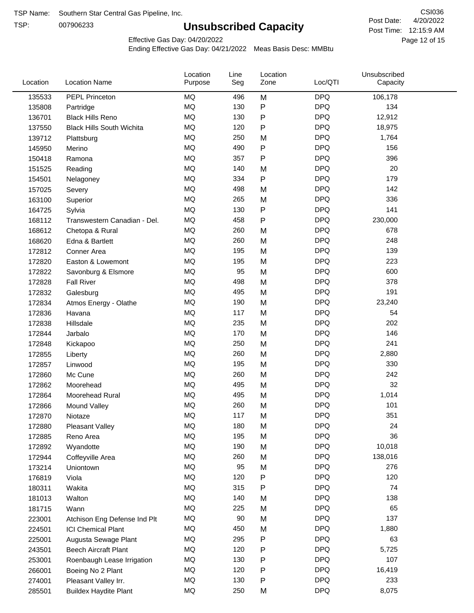TSP:

# **Unsubscribed Capacity**

4/20/2022 Page 12 of 15 Post Time: 12:15:9 AM CSI036 Post Date:

Effective Gas Day: 04/20/2022

| Location | <b>Location Name</b>             | Location<br>Purpose | Line<br>Seg | Location<br>Zone | Loc/QTI    | Unsubscribed<br>Capacity |  |
|----------|----------------------------------|---------------------|-------------|------------------|------------|--------------------------|--|
| 135533   | PEPL Princeton                   | MQ                  | 496         | M                | <b>DPQ</b> | 106,178                  |  |
| 135808   | Partridge                        | MQ                  | 130         | P                | <b>DPQ</b> | 134                      |  |
| 136701   | <b>Black Hills Reno</b>          | MQ                  | 130         | P                | <b>DPQ</b> | 12,912                   |  |
| 137550   | <b>Black Hills South Wichita</b> | MQ                  | 120         | P                | <b>DPQ</b> | 18,975                   |  |
| 139712   | Plattsburg                       | <b>MQ</b>           | 250         | M                | <b>DPQ</b> | 1,764                    |  |
| 145950   | Merino                           | <b>MQ</b>           | 490         | P                | <b>DPQ</b> | 156                      |  |
| 150418   | Ramona                           | <b>MQ</b>           | 357         | Ρ                | <b>DPQ</b> | 396                      |  |
| 151525   | Reading                          | <b>MQ</b>           | 140         | M                | <b>DPQ</b> | 20                       |  |
| 154501   | Nelagoney                        | <b>MQ</b>           | 334         | P                | <b>DPQ</b> | 179                      |  |
| 157025   | Severy                           | <b>MQ</b>           | 498         | M                | <b>DPQ</b> | 142                      |  |
| 163100   | Superior                         | MQ                  | 265         | M                | <b>DPQ</b> | 336                      |  |
| 164725   | Sylvia                           | MQ                  | 130         | P                | <b>DPQ</b> | 141                      |  |
| 168112   | Transwestern Canadian - Del.     | <b>MQ</b>           | 458         | P                | <b>DPQ</b> | 230,000                  |  |
| 168612   | Chetopa & Rural                  | <b>MQ</b>           | 260         | M                | <b>DPQ</b> | 678                      |  |
| 168620   | Edna & Bartlett                  | <b>MQ</b>           | 260         | M                | <b>DPQ</b> | 248                      |  |
| 172812   | Conner Area                      | <b>MQ</b>           | 195         | M                | <b>DPQ</b> | 139                      |  |
| 172820   | Easton & Lowemont                | MQ                  | 195         | M                | <b>DPQ</b> | 223                      |  |
| 172822   | Savonburg & Elsmore              | MQ                  | 95          | M                | <b>DPQ</b> | 600                      |  |
| 172828   | <b>Fall River</b>                | <b>MQ</b>           | 498         | M                | <b>DPQ</b> | 378                      |  |
| 172832   | Galesburg                        | MQ                  | 495         | M                | <b>DPQ</b> | 191                      |  |
| 172834   | Atmos Energy - Olathe            | MQ                  | 190         | M                | <b>DPQ</b> | 23,240                   |  |
| 172836   | Havana                           | <b>MQ</b>           | 117         | M                | <b>DPQ</b> | 54                       |  |
| 172838   | Hillsdale                        | <b>MQ</b>           | 235         | M                | <b>DPQ</b> | 202                      |  |
| 172844   | Jarbalo                          | <b>MQ</b>           | 170         | M                | <b>DPQ</b> | 146                      |  |
| 172848   | Kickapoo                         | <b>MQ</b>           | 250         | M                | <b>DPQ</b> | 241                      |  |
| 172855   | Liberty                          | MQ                  | 260         | M                | <b>DPQ</b> | 2,880                    |  |
| 172857   | Linwood                          | <b>MQ</b>           | 195         | M                | <b>DPQ</b> | 330                      |  |
| 172860   | Mc Cune                          | <b>MQ</b>           | 260         | M                | <b>DPQ</b> | 242                      |  |
| 172862   | Moorehead                        | <b>MQ</b>           | 495         | M                | <b>DPQ</b> | 32                       |  |
| 172864   | Moorehead Rural                  | MQ                  | 495         | M                | <b>DPQ</b> | 1,014                    |  |
| 172866   | Mound Valley                     | <b>MQ</b>           | 260         | M                | <b>DPQ</b> | 101                      |  |
| 172870   | Niotaze                          | MQ                  | 117         | М                | <b>DPQ</b> | 351                      |  |
| 172880   | <b>Pleasant Valley</b>           | MQ                  | 180         | M                | <b>DPQ</b> | 24                       |  |
| 172885   | Reno Area                        | $\sf{MQ}$           | 195         | M                | <b>DPQ</b> | 36                       |  |
| 172892   | Wyandotte                        | MQ                  | 190         | M                | <b>DPQ</b> | 10,018                   |  |
| 172944   | Coffeyville Area                 | MQ                  | 260         | M                | <b>DPQ</b> | 138,016                  |  |
| 173214   | Uniontown                        | MQ                  | 95          | M                | <b>DPQ</b> | 276                      |  |
| 176819   | Viola                            | MQ                  | 120         | P                | <b>DPQ</b> | 120                      |  |
| 180311   | Wakita                           | MQ                  | 315         | Ρ                | <b>DPQ</b> | 74                       |  |
| 181013   | Walton                           | MQ                  | 140         | M                | <b>DPQ</b> | 138                      |  |
| 181715   | Wann                             | MQ                  | 225         | M                | <b>DPQ</b> | 65                       |  |
| 223001   | Atchison Eng Defense Ind Plt     | MQ                  | $90\,$      | M                | <b>DPQ</b> | 137                      |  |
| 224501   | <b>ICI Chemical Plant</b>        | MQ                  | 450         | M                | <b>DPQ</b> | 1,880                    |  |
| 225001   | Augusta Sewage Plant             | MQ                  | 295         | Ρ                | <b>DPQ</b> | 63                       |  |
| 243501   | <b>Beech Aircraft Plant</b>      | MQ                  | 120         | Ρ                | <b>DPQ</b> | 5,725                    |  |
| 253001   | Roenbaugh Lease Irrigation       | MQ                  | 130         | Ρ                | <b>DPQ</b> | 107                      |  |
| 266001   | Boeing No 2 Plant                | MQ                  | 120         | Ρ                | <b>DPQ</b> | 16,419                   |  |
| 274001   | Pleasant Valley Irr.             | MQ                  | 130         | Ρ                | <b>DPQ</b> | 233                      |  |
| 285501   | <b>Buildex Haydite Plant</b>     | MQ                  | 250         | M                | <b>DPQ</b> | 8,075                    |  |
|          |                                  |                     |             |                  |            |                          |  |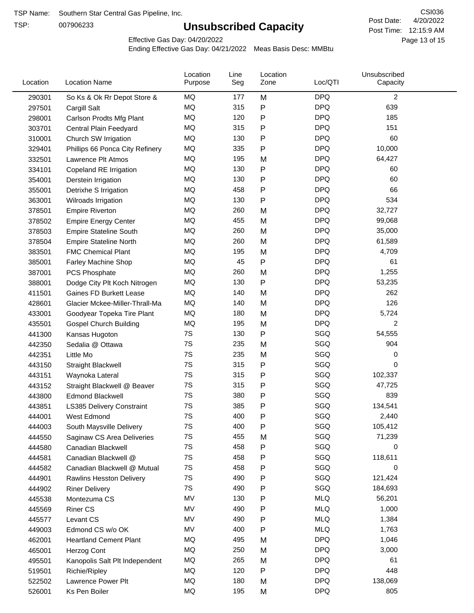TSP:

# **Unsubscribed Capacity**

4/20/2022 Page 13 of 15 Post Time: 12:15:9 AM CSI036 Post Date:

Effective Gas Day: 04/20/2022

| Location | <b>Location Name</b>             | Location<br>Purpose | Line<br>Seg | Location<br>Zone | Loc/QTI    | Unsubscribed<br>Capacity |  |
|----------|----------------------------------|---------------------|-------------|------------------|------------|--------------------------|--|
| 290301   | So Ks & Ok Rr Depot Store &      | MQ                  | 177         | M                | <b>DPQ</b> | $\overline{2}$           |  |
| 297501   | Cargill Salt                     | MQ                  | 315         | P                | <b>DPQ</b> | 639                      |  |
| 298001   | Carlson Prodts Mfg Plant         | MQ                  | 120         | Ρ                | <b>DPQ</b> | 185                      |  |
| 303701   | Central Plain Feedyard           | MQ                  | 315         | Ρ                | <b>DPQ</b> | 151                      |  |
| 310001   | Church SW Irrigation             | MQ                  | 130         | Ρ                | <b>DPQ</b> | 60                       |  |
| 329401   | Phillips 66 Ponca City Refinery  | MQ                  | 335         | Ρ                | <b>DPQ</b> | 10,000                   |  |
| 332501   | Lawrence Plt Atmos               | MQ                  | 195         | M                | <b>DPQ</b> | 64,427                   |  |
| 334101   | Copeland RE Irrigation           | MQ                  | 130         | P                | <b>DPQ</b> | 60                       |  |
| 354001   | Derstein Irrigation              | MQ                  | 130         | P                | <b>DPQ</b> | 60                       |  |
| 355001   | Detrixhe S Irrigation            | MQ                  | 458         | P                | <b>DPQ</b> | 66                       |  |
| 363001   | Wilroads Irrigation              | MQ                  | 130         | Ρ                | <b>DPQ</b> | 534                      |  |
| 378501   | <b>Empire Riverton</b>           | MQ                  | 260         | M                | <b>DPQ</b> | 32,727                   |  |
| 378502   | <b>Empire Energy Center</b>      | MQ                  | 455         | M                | <b>DPQ</b> | 99,068                   |  |
| 378503   | <b>Empire Stateline South</b>    | MQ                  | 260         | M                | <b>DPQ</b> | 35,000                   |  |
| 378504   | <b>Empire Stateline North</b>    | MQ                  | 260         | M                | <b>DPQ</b> | 61,589                   |  |
| 383501   | <b>FMC Chemical Plant</b>        | MQ                  | 195         | M                | <b>DPQ</b> | 4,709                    |  |
| 385001   | Farley Machine Shop              | MQ                  | 45          | P                | <b>DPQ</b> | 61                       |  |
| 387001   | PCS Phosphate                    | MQ                  | 260         | M                | <b>DPQ</b> | 1,255                    |  |
| 388001   | Dodge City Plt Koch Nitrogen     | MQ                  | 130         | P                | <b>DPQ</b> | 53,235                   |  |
| 411501   | <b>Gaines FD Burkett Lease</b>   | MQ                  | 140         | M                | <b>DPQ</b> | 262                      |  |
| 428601   | Glacier Mckee-Miller-Thrall-Ma   | MQ                  | 140         | M                | <b>DPQ</b> | 126                      |  |
| 433001   | Goodyear Topeka Tire Plant       | MQ                  | 180         | M                | <b>DPQ</b> | 5,724                    |  |
| 435501   | <b>Gospel Church Building</b>    | MQ                  | 195         | M                | <b>DPQ</b> | 2                        |  |
| 441300   | Kansas Hugoton                   | 7S                  | 130         | Ρ                | SGQ        | 54,555                   |  |
| 442350   | Sedalia @ Ottawa                 | 7S                  | 235         | M                | SGQ        | 904                      |  |
| 442351   | Little Mo                        | 7S                  | 235         | M                | SGQ        | 0                        |  |
| 443150   | <b>Straight Blackwell</b>        | 7S                  | 315         | P                | SGQ        | 0                        |  |
| 443151   | Waynoka Lateral                  | 7S                  | 315         | Ρ                | SGQ        | 102,337                  |  |
| 443152   | Straight Blackwell @ Beaver      | 7S                  | 315         | Ρ                | SGQ        | 47,725                   |  |
| 443800   | <b>Edmond Blackwell</b>          | 7S                  | 380         | P                | SGQ        | 839                      |  |
| 443851   | <b>LS385 Delivery Constraint</b> | 7S                  | 385         | Ρ                | SGQ        | 134,541                  |  |
| 444001   | West Edmond                      | 7S                  | 400         | Ρ                | SGQ        | 2,440                    |  |
| 444003   | South Maysville Delivery         | 7S                  | 400         | Ρ                | SGQ        | 105,412                  |  |
| 444550   | Saginaw CS Area Deliveries       | $7\mathrm{S}$       | 455         | M                | SGQ        | 71,239                   |  |
| 444580   | Canadian Blackwell               | 7S                  | 458         | P                | SGQ        | 0                        |  |
| 444581   | Canadian Blackwell @             | 7S                  | 458         | Ρ                | SGQ        | 118,611                  |  |
| 444582   | Canadian Blackwell @ Mutual      | 7S                  | 458         | Ρ                | SGQ        | 0                        |  |
| 444901   | <b>Rawlins Hesston Delivery</b>  | 7S                  | 490         | Ρ                | SGQ        | 121,424                  |  |
| 444902   | <b>Riner Delivery</b>            | 7S                  | 490         | Ρ                | SGQ        | 184,693                  |  |
| 445538   | Montezuma CS                     | MV                  | 130         | P                | <b>MLQ</b> | 56,201                   |  |
| 445569   | <b>Riner CS</b>                  | MV                  | 490         | Ρ                | <b>MLQ</b> | 1,000                    |  |
| 445577   | Levant CS                        | MV                  | 490         | Ρ                | <b>MLQ</b> | 1,384                    |  |
| 449003   | Edmond CS w/o OK                 | MV                  | 400         | Ρ                | <b>MLQ</b> | 1,763                    |  |
| 462001   | <b>Heartland Cement Plant</b>    | MQ                  | 495         | M                | <b>DPQ</b> | 1,046                    |  |
| 465001   | Herzog Cont                      | MQ                  | 250         | M                | <b>DPQ</b> | 3,000                    |  |
| 495501   | Kanopolis Salt Plt Independent   | MQ                  | 265         | M                | <b>DPQ</b> | 61                       |  |
| 519501   | Richie/Ripley                    | MQ                  | 120         | Ρ                | <b>DPQ</b> | 448                      |  |
| 522502   | Lawrence Power Plt               | MQ                  | 180         | M                | <b>DPQ</b> | 138,069                  |  |
| 526001   | Ks Pen Boiler                    | MQ                  | 195         | M                | <b>DPQ</b> | 805                      |  |
|          |                                  |                     |             |                  |            |                          |  |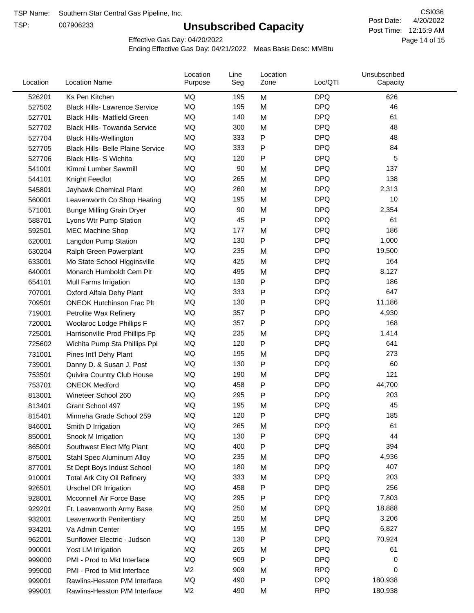TSP:

# **Unsubscribed Capacity**

4/20/2022 Page 14 of 15 Post Time: 12:15:9 AM CSI036 Post Date:

Effective Gas Day: 04/20/2022

| Location | <b>Location Name</b>                     | Location<br>Purpose | Line<br>Seg | Location<br>Zone | Loc/QTI    | Unsubscribed<br>Capacity |  |
|----------|------------------------------------------|---------------------|-------------|------------------|------------|--------------------------|--|
| 526201   | Ks Pen Kitchen                           | MQ                  | 195         | M                | <b>DPQ</b> | 626                      |  |
| 527502   | <b>Black Hills- Lawrence Service</b>     | MQ                  | 195         | M                | <b>DPQ</b> | 46                       |  |
| 527701   | <b>Black Hills- Matfield Green</b>       | <b>MQ</b>           | 140         | M                | <b>DPQ</b> | 61                       |  |
| 527702   | <b>Black Hills- Towanda Service</b>      | MQ                  | 300         | M                | <b>DPQ</b> | 48                       |  |
| 527704   | <b>Black Hills-Wellington</b>            | MQ                  | 333         | Ρ                | <b>DPQ</b> | 48                       |  |
| 527705   | <b>Black Hills- Belle Plaine Service</b> | MQ                  | 333         | P                | <b>DPQ</b> | 84                       |  |
| 527706   | <b>Black Hills- S Wichita</b>            | MQ                  | 120         | Ρ                | <b>DPQ</b> | 5                        |  |
| 541001   | Kimmi Lumber Sawmill                     | <b>MQ</b>           | 90          | M                | <b>DPQ</b> | 137                      |  |
| 544101   | Knight Feedlot                           | MQ                  | 265         | M                | <b>DPQ</b> | 138                      |  |
| 545801   | Jayhawk Chemical Plant                   | MQ                  | 260         | M                | <b>DPQ</b> | 2,313                    |  |
| 560001   | Leavenworth Co Shop Heating              | MQ                  | 195         | M                | <b>DPQ</b> | 10                       |  |
| 571001   | <b>Bunge Milling Grain Dryer</b>         | MQ                  | 90          | M                | <b>DPQ</b> | 2,354                    |  |
| 588701   | Lyons Wtr Pump Station                   | <b>MQ</b>           | 45          | P                | <b>DPQ</b> | 61                       |  |
| 592501   | <b>MEC Machine Shop</b>                  | MQ                  | 177         | M                | <b>DPQ</b> | 186                      |  |
| 620001   | Langdon Pump Station                     | MQ                  | 130         | P                | <b>DPQ</b> | 1,000                    |  |
| 630204   | Ralph Green Powerplant                   | MQ                  | 235         | M                | <b>DPQ</b> | 19,500                   |  |
| 633001   | Mo State School Higginsville             | MQ                  | 425         | M                | <b>DPQ</b> | 164                      |  |
| 640001   | Monarch Humboldt Cem Plt                 | MQ                  | 495         | M                | <b>DPQ</b> | 8,127                    |  |
| 654101   | Mull Farms Irrigation                    | MQ                  | 130         | P                | <b>DPQ</b> | 186                      |  |
| 707001   | Oxford Alfala Dehy Plant                 | MQ                  | 333         | P                | <b>DPQ</b> | 647                      |  |
| 709501   | <b>ONEOK Hutchinson Frac Plt</b>         | MQ                  | 130         | Ρ                | <b>DPQ</b> | 11,186                   |  |
| 719001   | Petrolite Wax Refinery                   | <b>MQ</b>           | 357         | Ρ                | <b>DPQ</b> | 4,930                    |  |
| 720001   | Woolaroc Lodge Phillips F                | MQ                  | 357         | Ρ                | <b>DPQ</b> | 168                      |  |
| 725001   | Harrisonville Prod Phillips Pp           | MQ                  | 235         | M                | <b>DPQ</b> | 1,414                    |  |
| 725602   | Wichita Pump Sta Phillips Ppl            | MQ                  | 120         | P                | <b>DPQ</b> | 641                      |  |
| 731001   | Pines Int'l Dehy Plant                   | MQ                  | 195         | M                | <b>DPQ</b> | 273                      |  |
| 739001   | Danny D. & Susan J. Post                 | MQ                  | 130         | P                | <b>DPQ</b> | 60                       |  |
| 753501   | Quivira Country Club House               | MQ                  | 190         | M                | <b>DPQ</b> | 121                      |  |
| 753701   | <b>ONEOK Medford</b>                     | MQ                  | 458         | P                | <b>DPQ</b> | 44,700                   |  |
| 813001   | Wineteer School 260                      | MQ                  | 295         | Ρ                | <b>DPQ</b> | 203                      |  |
| 813401   | Grant School 497                         | MQ                  | 195         | M                | <b>DPQ</b> | 45                       |  |
| 815401   | Minneha Grade School 259                 | MQ                  | 120         | P                | <b>DPQ</b> | 185                      |  |
| 846001   | Smith D Irrigation                       | ΜQ                  | 265         | M                | <b>DPQ</b> | 61                       |  |
| 850001   | Snook M Irrigation                       | MQ                  | 130         | P                | <b>DPQ</b> | 44                       |  |
| 865001   | Southwest Elect Mfg Plant                | MQ                  | 400         | P                | <b>DPQ</b> | 394                      |  |
| 875001   | Stahl Spec Aluminum Alloy                | MQ                  | 235         | M                | <b>DPQ</b> | 4,936                    |  |
| 877001   | St Dept Boys Indust School               | MQ                  | 180         | M                | <b>DPQ</b> | 407                      |  |
| 910001   | <b>Total Ark City Oil Refinery</b>       | MQ                  | 333         | M                | <b>DPQ</b> | 203                      |  |
| 926501   | <b>Urschel DR Irrigation</b>             | MQ                  | 458         | P                | <b>DPQ</b> | 256                      |  |
| 928001   | Mcconnell Air Force Base                 | MQ                  | 295         | P                | <b>DPQ</b> | 7,803                    |  |
| 929201   | Ft. Leavenworth Army Base                | MQ                  | 250         | M                | <b>DPQ</b> | 18,888                   |  |
| 932001   | Leavenworth Penitentiary                 | MQ                  | 250         | M                | <b>DPQ</b> | 3,206                    |  |
| 934201   | Va Admin Center                          | MQ                  | 195         | M                | <b>DPQ</b> | 6,827                    |  |
| 962001   | Sunflower Electric - Judson              | MQ                  | 130         | P                | <b>DPQ</b> | 70,924                   |  |
| 990001   | Yost LM Irrigation                       | MQ                  | 265         | M                | <b>DPQ</b> | 61                       |  |
| 999000   | PMI - Prod to Mkt Interface              | MQ                  | 909         | Ρ                | <b>DPQ</b> | 0                        |  |
| 999000   | PMI - Prod to Mkt Interface              | M <sub>2</sub>      | 909         | M                | <b>RPQ</b> | 0                        |  |
| 999001   | Rawlins-Hesston P/M Interface            | MQ                  | 490         | P                | <b>DPQ</b> | 180,938                  |  |
| 999001   | Rawlins-Hesston P/M Interface            | M <sub>2</sub>      | 490         | M                | <b>RPQ</b> | 180,938                  |  |